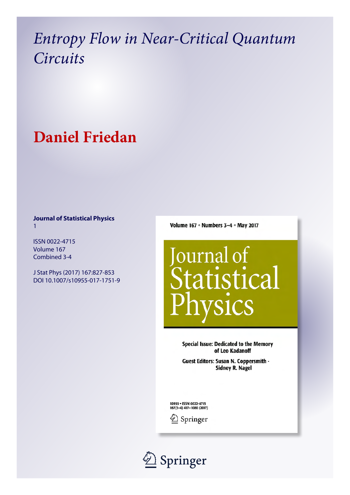# *Entropy Flow in Near-Critical Quantum Circuits*

# **Daniel Friedan**

# **Journal of Statistical Physics** 1

ISSN 0022-4715 Volume 167 Combined 3-4

J Stat Phys (2017) 167:827-853 DOI 10.1007/s10955-017-1751-9 Volume 167 • Numbers 3-4 • May 2017



**Special Issue: Dedicated to the Memory** of Leo Kadanoff

Guest Editors: Susan N. Coppersmith -**Sidney R. Nagel** 

10955 . ISSN 0022-4715 167(3-4) 417-1080 (2017)



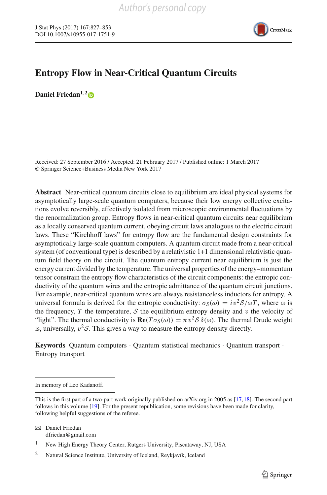

# **Entropy Flow in Near-Critical Quantum Circuits**

**Daniel Friedan1**,**[2](http://orcid.org/0000-0001-8664-834X)**

Received: 27 September 2016 / Accepted: 21 February 2017 / Published online: 1 March 2017 © Springer Science+Business Media New York 2017

**Abstract** Near-critical quantum circuits close to equilibrium are ideal physical systems for asymptotically large-scale quantum computers, because their low energy collective excitations evolve reversibly, effectively isolated from microscopic environmental fluctuations by the renormalization group. Entropy flows in near-critical quantum circuits near equilibrium as a locally conserved quantum current, obeying circuit laws analogous to the electric circuit laws. These "Kirchhoff laws" for entropy flow are the fundamental design constraints for asymptotically large-scale quantum computers. A quantum circuit made from a near-critical system (of conventional type) is described by a relativistic 1+1 dimensional relativistic quantum field theory on the circuit. The quantum entropy current near equilibrium is just the energy current divided by the temperature. The universal properties of the energy–momentum tensor constrain the entropy flow characteristics of the circuit components: the entropic conductivity of the quantum wires and the entropic admittance of the quantum circuit junctions. For example, near-critical quantum wires are always resistanceless inductors for entropy. A universal formula is derived for the entropic conductivity:  $\sigma_S(\omega) = i\frac{v^2S}{\omega T}$ , where ω is the frequency,  $T$  the temperature,  $S$  the equilibrium entropy density and  $v$  the velocity of "light". The thermal conductivity is  $\mathbf{Re}(T\sigma_S(\omega)) = \pi v^2 S \delta(\omega)$ . The thermal Drude weight is, universally,  $v^2S$ . This gives a way to measure the entropy density directly.

**Keywords** Quantum computers · Quantum statistical mechanics · Quantum transport · Entropy transport

In memory of Leo Kadanoff.

This is the first part of a two-part work originally published on arXiv.org in 2005 as [\[17](#page-26-0)[,18\]](#page-26-1). The second part follows in this volume [\[19\]](#page-26-2). For the present republication, some revisions have been made for clarity, following helpful suggestions of the referee.

B Daniel Friedan dfriedan@gmail.com

<sup>1</sup> New High Energy Theory Center, Rutgers University, Piscataway, NJ, USA

<sup>2</sup> Natural Science Institute, University of Iceland, Reykjavík, Iceland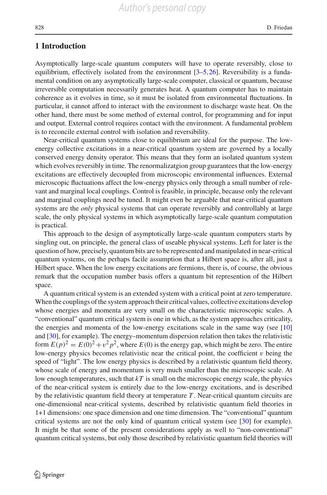## **1 Introduction**

Asymptotically large-scale quantum computers will have to operate reversibly, close to equilibrium, effectively isolated from the environment [\[3](#page-26-3)[–5](#page-26-4)[,26](#page-26-5)]. Reversibility is a fundamental condition on any asymptotically large-scale computer, classical or quantum, because irreversible computation necessarily generates heat. A quantum computer has to maintain coherence as it evolves in time, so it must be isolated from environmental fluctuations. In particular, it cannot afford to interact with the environment to discharge waste heat. On the other hand, there must be some method of external control, for programming and for input and output. External control requires contact with the environment. A fundamental problem is to reconcile external control with isolation and reversibility.

Near-critical quantum systems close to equilibrium are ideal for the purpose. The lowenergy collective excitations in a near-critical quantum system are governed by a locally conserved energy density operator. This means that they form an isolated quantum system which evolves reversibly in time. The renormalizatgion group guarantees that the low-energy excitations are effectively decoupled from microscopic environmental influences. External microscopic fluctuations affect the low-energy physics only through a small number of relevant and marginal local couplings. Control is feasible, in principle, because only the relevant and marginal couplings need be tuned. It might even be arguable that near-critical quantum systems are the *only* physical systems that can operate reversibly and controllably at large scale, the only physical systems in which asymptotically large-scale quantum computation is practical.

This approach to the design of asymptotically large-scale quantum computers starts by singling out, on principle, the general class of useable physical systems. Left for later is the question of how, precisely, quantum bits are to be represented and manipulated in near-critical quantum systems, on the perhaps facile assumption that a Hilbert space is, after all, just a Hilbert space. When the low energy excitations are fermions, there is, of course, the obvious remark that the occupation number basis offers a quantum bit represention of the Hilbert space.

A quantum critical system is an extended system with a critical point at zero temperature. When the couplings of the system approach their critical values, collective excitations develop whose energies and momenta are very small on the characteristic microscopic scales. A "conventional" quantum critical system is one in which, as the system approaches criticality, the energies and momenta of the low-energy excitations scale in the same way (see [\[10\]](#page-26-6) and [\[30\]](#page-27-0), for example). The energy–momentum dispersion relation then takes the relativistic form  $E(p)^2 = E(0)^2 + v^2 p^2$ , where  $E(0)$  is the energy gap, which might be zero. The entire low-energy physics becomes relativistic near the critical point, the coefficient  $v$  being the speed of "light". The low energy physics is described by a relativistic quantum field theory, whose scale of energy and momentum is very much smaller than the microscopic scale. At low enough temperatures, such that *kT* is small on the microscopic energy scale, the physics of the near-critical system is entirely due to the low-energy excitations, and is described by the relativistic quantum field theory at temperature *T* . Near-critical quantum circuits are one-dimensional near-critical systems, described by relativistic quantum field theories in 1+1 dimensions: one space dimension and one time dimension. The "conventional" quantum critical systems are not the only kind of quantum critical system (see [\[30\]](#page-27-0) for example). It might be that some of the present considerations apply as well to "non-conventional" quantum critical systems, but only those described by relativistic quantum field theories will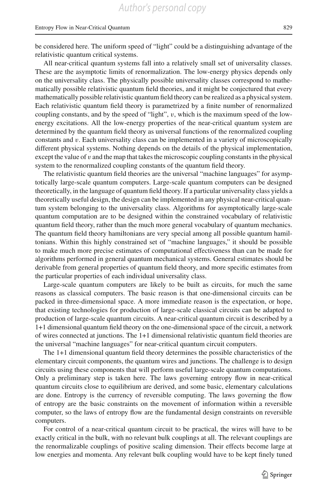be considered here. The uniform speed of "light" could be a distinguishing advantage of the relativistic quantum critical systems.

All near-critical quantum systems fall into a relatively small set of universality classes. These are the asymptotic limits of renormalization. The low-energy physics depends only on the universality class. The physically possible universality classes correspond to mathematically possible relativistic quantum field theories, and it might be conjectured that every mathematically possible relativistic quantum field theory can be realized as a physical system. Each relativistic quantum field theory is parametrized by a finite number of renormalized coupling constants, and by the speed of "light", v, which is the maximum speed of the lowenergy excitations. All the low-energy properties of the near-critical quantum system are determined by the quantum field theory as universal functions of the renormalized coupling constants and v. Each universality class can be implemented in a variety of microscopically different physical systems. Nothing depends on the details of the physical implementation, except the value of  $v$  and the map that takes the microscopic coupling constants in the physical system to the renormalized coupling constants of the quantum field theory.

The relativistic quantum field theories are the universal "machine languages" for asymptotically large-scale quantum computers. Large-scale quantum computers can be designed theoretically, in the language of quantum field theory. If a particular universality class yields a theoretically useful design, the design can be implemented in any physical near-critical quantum system belonging to the universality class. Algorithms for asymptotically large-scale quantum computation are to be designed within the constrained vocabulary of relativistic quantum field theory, rather than the much more general vocabulary of quantum mechanics. The quantum field theory hamiltonians are very special among all possible quantum hamiltonians. Within this highly constrained set of "machine languages," it should be possible to make much more precise estimates of computational effectiveness than can be made for algorithms performed in general quantum mechanical systems. General estimates should be derivable from general properties of quantum field theory, and more specific estimates from the particular properties of each individual universality class.

Large-scale quantum computers are likely to be built as circuits, for much the same reasons as classical computers. The basic reason is that one-dimensional circuits can be packed in three-dimensional space. A more immediate reason is the expectation, or hope, that existing technologies for production of large-scale classical circuits can be adapted to production of large-scale quantum circuits. A near-critical quantum circuit is described by a 1+1 dimensional quantum field theory on the one-dimensional space of the circuit, a network of wires connected at junctions. The 1+1 dimensional relativistic quantum field theories are the universal "machine languages" for near-critical quantum circuit computers.

The 1+1 dimensional quantum field theory determines the possible characteristics of the elementary circuit components, the quantum wires and junctions. The challenge is to design circuits using these components that will perform useful large-scale quantum computations. Only a preliminary step is taken here. The laws governing entropy flow in near-critical quantum circuits close to equilibrium are derived, and some basic, elementary calculations are done. Entropy is the currency of reversible computing. The laws governing the flow of entropy are the basic constraints on the movement of information within a reversible computer, so the laws of entropy flow are the fundamental design constraints on reversible computers.

For control of a near-critical quantum circuit to be practical, the wires will have to be exactly critical in the bulk, with no relevant bulk couplings at all. The relevant couplings are the renormalizable couplings of positive scaling dimension. Their effects become large at low energies and momenta. Any relevant bulk coupling would have to be kept finely tuned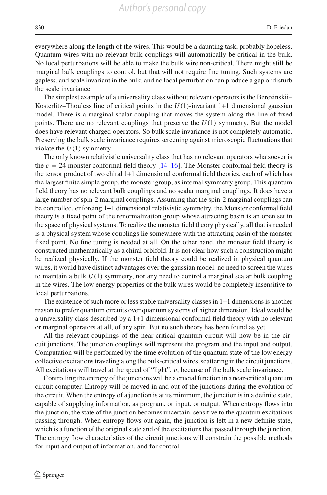everywhere along the length of the wires. This would be a daunting task, probably hopeless. Quantum wires with no relevant bulk couplings will automatically be critical in the bulk. No local perturbations will be able to make the bulk wire non-critical. There might still be marginal bulk couplings to control, but that will not require fine tuning. Such systems are gapless, and scale invariant in the bulk, and no local perturbation can produce a gap or disturb the scale invariance.

The simplest example of a universality class without relevant operators is the Berezinskii– Kosterlitz–Thouless line of critical points in the  $U(1)$ -invariant 1+1 dimensional gaussian model. There is a marginal scalar coupling that moves the system along the line of fixed points. There are no relevant couplings that preserve the *U*(1) symmetry. But the model does have relevant charged operators. So bulk scale invariance is not completely automatic. Preserving the bulk scale invariance requires screening against microscopic fluctuations that violate the *U*(1) symmetry.

The only known relativistic universality class that has no relevant operators whatsoever is the  $c = 24$  monster conformal field theory  $[14–16]$  $[14–16]$  $[14–16]$ . The Monster conformal field theory is the tensor product of two chiral 1+1 dimensional conformal field theories, each of which has the largest finite simple group, the monster group, as internal symmetry group. This quantum field theory has no relevant bulk couplings and no scalar marginal couplings. It does have a large number of spin-2 marginal couplings. Assuming that the spin-2 marginal couplings can be controlled, enforcing 1+1 dimensional relativistic symmetry, the Monster conformal field theory is a fixed point of the renormalization group whose attracting basin is an open set in the space of physical systems. To realize the monster field theory physically, all that is needed is a physical system whose couplings lie somewhere with the attracting basin of the monster fixed point. No fine tuning is needed at all. On the other hand, the monster field theory is constructed mathematically as a chiral orbifold. It is not clear how such a construction might be realized physically. If the monster field theory could be realized in physical quantum wires, it would have distinct advantages over the gaussian model: no need to screen the wires to maintain a bulk *U*(1) symmetry, nor any need to control a marginal scalar bulk coupling in the wires. The low energy properties of the bulk wires would be completely insensitive to local perturbations.

The existence of such more or less stable universality classes in 1+1 dimensions is another reason to prefer quantum circuits over quantum systems of higher dimension. Ideal would be a universality class described by a 1+1 dimensional conformal field theory with no relevant or marginal operators at all, of any spin. But no such theory has been found as yet.

All the relevant couplings of the near-critical quantum circuit will now be in the circuit junctions. The junction couplings will represent the program and the input and output. Computation will be performed by the time evolution of the quantum state of the low energy collective excitations traveling along the bulk-critical wires, scattering in the circuit junctions. All excitations will travel at the speed of "light", v, because of the bulk scale invariance.

Controlling the entropy of the junctions will be a crucial function in a near-critical quantum circuit computer. Entropy will be moved in and out of the junctions during the evolution of the circuit. When the entropy of a junction is at its minimum, the junction is in a definite state, capable of supplying information, as program, or input, or output. When entropy flows into the junction, the state of the junction becomes uncertain, sensitive to the quantum excitations passing through. When entropy flows out again, the junction is left in a new definite state, which is a function of the original state and of the excitations that passed through the junction. The entropy flow characteristics of the circuit junctions will constrain the possible methods for input and output of information, and for control.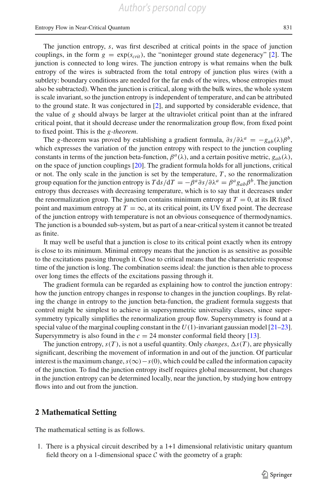#### Entropy Flow in Near-Critical Quantum 831

The junction entropy, *s*, was first described at critical points in the space of junction couplings, in the form  $g = \exp(s_{crit})$ , the "noninteger ground state degeneracy" [\[2\]](#page-26-9). The junction is connected to long wires. The junction entropy is what remains when the bulk entropy of the wires is subtracted from the total entropy of junction plus wires (with a subtlety: boundary conditions are needed for the far ends of the wires, whose entropies must also be subtracted). When the junction is critical, along with the bulk wires, the whole system is scale invariant, so the junction entropy is independent of temperature, and can be attributed to the ground state. It was conjectured in [\[2](#page-26-9)], and supported by considerable evidence, that the value of *g* should always be larger at the ultraviolet critical point than at the infrared critical point, that it should decrease under the renormalization group flow, from fixed point to fixed point. This is the *g-theorem*.

The *g*-theorem was proved by establishing a gradient formula,  $\partial s/\partial \lambda^a = -g_{ab}(\lambda)\beta^b$ , which expresses the variation of the junction entropy with respect to the junction coupling constants in terms of the junction beta-function,  $\beta^a(\lambda)$ , and a certain positive metric,  $g_{ab}(\lambda)$ , on the space of junction couplings [\[20](#page-26-10)]. The gradient formula holds for all junctions, critical or not. The only scale in the junction is set by the temperature,  $T$ , so the renormalization group equation for the junction entropy is  $T ds/dT = -\beta^a \partial s/\partial \lambda^a = \beta^a g_{ab}\beta^b$ . The junction entropy thus decreases with decreasing temperature, which is to say that it decreases under the renormalization group. The junction contains minimum entropy at  $T = 0$ , at its IR fixed point and maximum entropy at  $T = \infty$ , at its critical point, its UV fixed point. The decrease of the junction entropy with temperature is not an obvious consequence of thermodynamics. The junction is a bounded sub-system, but as part of a near-critical system it cannot be treated as finite.

It may well be useful that a junction is close to its critical point exactly when its entropy is close to its minimum. Minimal entropy means that the junction is as sensitive as possible to the excitations passing through it. Close to critical means that the characteristic response time of the junction is long. The combination seems ideal: the junction is then able to process over long times the effects of the excitations passing through it.

The gradient formula can be regarded as explaining how to control the junction entropy: how the junction entropy changes in response to changes in the junction couplings. By relating the change in entropy to the junction beta-function, the gradient formula suggests that control might be simplest to achieve in supersymmetric universality classes, since supersymmetry typically simplifies the renormalization group flow. Supersymmetry is found at a special value of the marginal coupling constant in the  $U(1)$ -invariant gaussian model [\[21](#page-26-11)[–23\]](#page-26-12). Supersymmetry is also found in the  $c = 24$  monster conformal field theory [\[13](#page-26-13)].

The junction entropy,  $s(T)$ , is not a useful quantity. Only *changes*,  $\Delta s(T)$ , are physically significant, describing the movement of information in and out of the junction. Of particular interest is the maximum change,*s*(∞)−*s*(0), which could be called the information capacity of the junction. To find the junction entropy itself requires global measurement, but changes in the junction entropy can be determined locally, near the junction, by studying how entropy flows into and out from the junction.

### <span id="page-5-0"></span>**2 Mathematical Setting**

The mathematical setting is as follows.

1. There is a physical circuit described by a 1+1 dimensional relativistic unitary quantum field theory on a 1-dimensional space  $C$  with the geometry of a graph: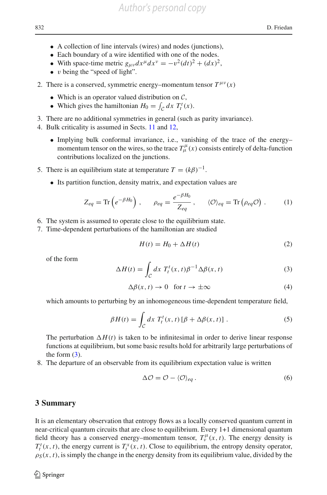- A collection of line intervals (wires) and nodes (junctions),
- Each boundary of a wire identified with one of the nodes.
- With space-time metric  $g_{\mu\nu}dx^{\mu}dx^{\nu} = -v^2(dt)^2 + (dx)^2$ ,
- $\bullet$  v being the "speed of light".
- 2. There is a conserved, symmetric energy–momentum tensor  $T^{\mu\nu}(x)$ 
	- Which is an operator valued distribution on *C*,
	- Which gives the hamiltonian  $H_0 = \int_{\mathcal{C}} dx T_t^t(x)$ .
- 3. There are no additional symmetries in general (such as parity invariance).
- 4. Bulk criticality is assumed in Sects. [11](#page-18-0) and [12,](#page-20-0)
	- Implying bulk conformal invariance, i.e., vanishing of the trace of the energy– momentum tensor on the wires, so the trace  $T^{\mu}_{\mu}(x)$  consists entirely of delta-function contributions localized on the junctions.
- 5. There is an equilibrium state at temperature  $T = (k\beta)^{-1}$ .
	- Its partition function, density matrix, and expectation values are

$$
Z_{eq} = \text{Tr}\left(e^{-\beta H_0}\right), \qquad \rho_{eq} = \frac{e^{-\beta H_0}}{Z_{eq}}, \qquad \langle \mathcal{O} \rangle_{eq} = \text{Tr}\left(\rho_{eq}\mathcal{O}\right). \tag{1}
$$

- 6. The system is assumed to operate close to the equilibrium state.
- 7. Time-dependent perturbations of the hamiltonian are studied

$$
H(t) = H_0 + \Delta H(t) \tag{2}
$$

of the form

<span id="page-6-0"></span>
$$
\Delta H(t) = \int_{\mathcal{C}} dx \ T_t^t(x, t) \beta^{-1} \Delta \beta(x, t) \tag{3}
$$

$$
\Delta \beta(x, t) \to 0 \quad \text{for } t \to \pm \infty \tag{4}
$$

which amounts to perturbing by an inhomogeneous time-dependent temperature field,

$$
\beta H(t) = \int_{\mathcal{C}} dx \ T_t^t(x, t) [\beta + \Delta \beta(x, t)] \ . \tag{5}
$$

The perturbation  $\Delta H(t)$  is taken to be infinitesimal in order to derive linear response functions at equilibrium, but some basic results hold for arbitrarily large perturbations of the form  $(3)$ .

8. The departure of an observable from its equilibrium expectation value is written

$$
\Delta \mathcal{O} = \mathcal{O} - \langle \mathcal{O} \rangle_{eq} . \tag{6}
$$

#### **3 Summary**

It is an elementary observation that entropy flows as a locally conserved quantum current in near-critical quantum circuits that are close to equilibrium. Every 1+1 dimensional quantum field theory has a conserved energy–momentum tensor,  $T_v^{\mu}(x, t)$ . The energy density is  $T_t^t(x, t)$ , the energy current is  $T_t^x(x, t)$ . Close to equilibrium, the entropy density operator,  $\rho_S(x, t)$ , is simply the change in the energy density from its equilibrium value, divided by the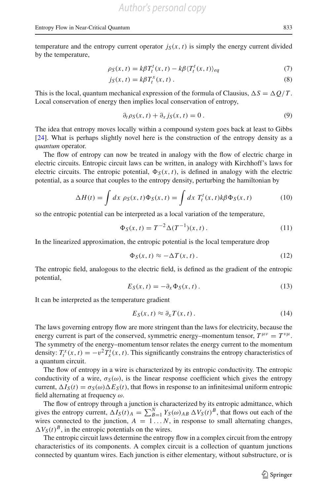temperature and the entropy current operator  $j_S(x, t)$  is simply the energy current divided by the temperature,

$$
\rho_S(x,t) = k\beta T_t^t(x,t) - k\beta \langle T_t^t(x,t) \rangle_{eq} \tag{7}
$$

$$
j_S(x,t) = k\beta T_t^x(x,t) \,. \tag{8}
$$

This is the local, quantum mechanical expression of the formula of Clausius,  $\Delta S = \Delta Q/T$ . Local conservation of energy then implies local conservation of entropy,

<span id="page-7-1"></span><span id="page-7-0"></span>
$$
\partial_t \rho_S(x, t) + \partial_x j_S(x, t) = 0.
$$
\n(9)

The idea that entropy moves locally within a compound system goes back at least to Gibbs [\[24\]](#page-26-14). What is perhaps slightly novel here is the construction of the entropy density as a *quantum* operator.

The flow of entropy can now be treated in analogy with the flow of electric charge in electric circuits. Entropic circuit laws can be written, in analogy with Kirchhoff's laws for electric circuits. The entropic potential,  $\Phi_{S}(x, t)$ , is defined in analogy with the electric potential, as a source that couples to the entropy density, perturbing the hamiltonian by

$$
\Delta H(t) = \int dx \, \rho_S(x, t) \Phi_S(x, t) = \int dx \, T_t^t(x, t) k \beta \Phi_S(x, t) \tag{10}
$$

so the entropic potential can be interpreted as a local variation of the temperature,

$$
\Phi_S(x,t) = T^{-2} \Delta(T^{-1})(x,t). \tag{11}
$$

In the linearized approximation, the entropic potential is the local temperature drop

$$
\Phi_S(x,t) \approx -\Delta T(x,t). \tag{12}
$$

The entropic field, analogous to the electric field, is defined as the gradient of the entropic potential,

$$
E_S(x,t) = -\partial_x \Phi_S(x,t) \,. \tag{13}
$$

It can be interpreted as the temperature gradient

$$
E_S(x, t) \approx \partial_x T(x, t). \tag{14}
$$

The laws governing entropy flow are more stringent than the laws for electricity, because the energy current is part of the conserved, symmetric energy–momentum tensor,  $T^{\mu\nu} = T^{\nu\mu}$ . The symmetry of the energy–momentum tensor relates the energy current to the momentum density:  $T_t^x(x, t) = -v^2 T_x^t(x, t)$ . This significantly constrains the entropy characteristics of a quantum circuit.

The flow of entropy in a wire is characterized by its entropic conductivity. The entropic conductivity of a wire,  $\sigma_s(\omega)$ , is the linear response coefficient which gives the entropy current,  $\Delta I_S(t) = \sigma_S(\omega) \Delta E_S(t)$ , that flows in response to an infinitesimal uniform entropic field alternating at frequency  $\omega$ .

The flow of entropy through a junction is characterized by its entropic admittance, which gives the entropy current,  $\Delta I_S(t)A = \sum_{B=1}^N Y_S(\omega)_{AB} \Delta V_S(t)^B$ , that flows out each of the wires connected to the junction,  $A = 1...N$ , in response to small alternating changes,  $\Delta V_S(t)^B$ , in the entropic potentials on the wires.

The entropic circuit laws determine the entropy flow in a complex circuit from the entropy characteristics of its components. A complex circuit is a collection of quantum junctions connected by quantum wires. Each junction is either elementary, without substructure, or is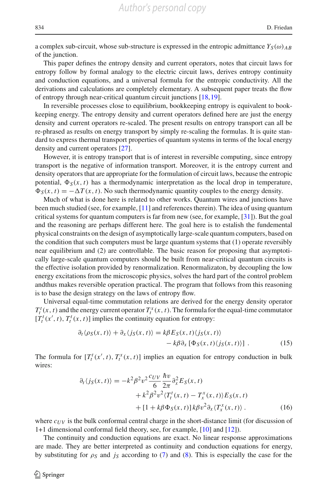a complex sub-circuit, whose sub-structure is expressed in the entropic admittance  $Y_S(\omega)_{AB}$ of the junction.

This paper defines the entropy density and current operators, notes that circuit laws for entropy follow by formal analogy to the electric circuit laws, derives entropy continuity and conduction equations, and a universal formula for the entropic conductivity. All the derivations and calculations are completely elementary. A subsequent paper treats the flow of entropy through near-critical quantum circuit junctions [\[18](#page-26-1)[,19\]](#page-26-2).

In reversible processes close to equilibrium, bookkeeping entropy is equivalent to bookkeeping energy. The entropy density and current operators defined here are just the energy density and current operators re-scaled. The present results on entropy transport can all be re-phrased as results on energy transport by simply re-scaling the formulas. It is quite standard to express thermal transport properties of quantum systems in terms of the local energy density and current operators [\[27](#page-26-15)].

However, it is entropy transport that is of interest in reversible computing, since entropy transport is the negative of information transport. Moreover, it is the entropy current and density operators that are appropriate for the formulation of circuit laws, because the entropic potential,  $\Phi_S(x, t)$  has a thermodynamic interpretation as the local drop in temperature,  $\Phi_S(x, t) = -\Delta T(x, t)$ . No such thermodynamic quantity couples to the energy density.

Much of what is done here is related to other works. Quantum wires and junctions have been much studied (see, for example, [\[11\]](#page-26-16) and references therein). The idea of using quantum critical systems for quantum computers is far from new (see, for example, [\[31\]](#page-27-1)). But the goal and the reasoning are perhaps different here. The goal here is to estalish the fundemental physical constraints on the design of asymptotically large-scale quantum computers, based on the condition that such computers must be large quantum systems that (1) operate reversibly near equilibrium and (2) are controllable. The basic reason for proposing that asymptotically large-scale quantum computers should be built from near-critical quantum circuits is the effective isolation provided by renormalization. Renormalizaton, by decoupling the low energy excitations from the microscopic physics, solves the hard part of the control problem andthus makes reversible operation practical. The program that follows from this reasoning is to base the design strategy on the laws of entropy flow.

Universal equal-time commutation relations are derived for the energy density operator  $T_t^t(x, t)$  and the energy current operator  $T_t^x(x, t)$ . The formula for the equal-time commutator  $[T_t^t(x', t), T_t^t(x, t)]$  implies the continuity equation for entropy:

<span id="page-8-1"></span>
$$
\partial_t \langle \rho_S(x, t) \rangle + \partial_x \langle j_S(x, t) \rangle = k \beta E_S(x, t) \langle j_S(x, t) \rangle \n- k \beta \partial_x [\Phi_S(x, t) \langle j_S(x, t) \rangle]. \tag{15}
$$

The formula for  $[T_t^t(x', t), T_t^x(x, t)]$  implies an equation for entropy conduction in bulk wires:

<span id="page-8-0"></span>
$$
\partial_t \langle j_S(x, t) \rangle = -k^2 \beta^2 v^2 \frac{c_{UV}}{6} \frac{\hbar v}{2\pi} \partial_x^2 E_S(x, t) \n+ k^2 \beta^2 v^2 \langle T_t^t(x, t) - T_x^x(x, t) \rangle E_S(x, t) \n+ [1 + k \beta \Phi_S(x, t)] k \beta v^2 \partial_x \langle T_x^x(x, t) \rangle.
$$
\n(16)

where  $c_{UV}$  is the bulk conformal central charge in the short-distance limit (for discussion of 1+1 dimensional conformal field theory, see, for example, [\[10](#page-26-6)] and [\[12](#page-26-17)]).

The continuity and conduction equations are exact. No linear response approximations are made. They are better interpreted as continuity and conduction equations for energy, by substituting for  $\rho_S$  and  $j_S$  according to [\(7\)](#page-7-0) and [\(8\)](#page-7-1). This is especially the case for the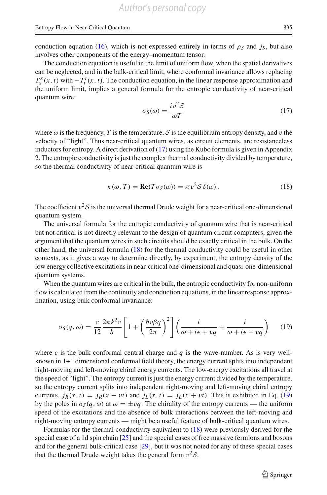conduction equation [\(16\)](#page-8-0), which is not expressed entirely in terms of  $\rho_s$  and *j<sub>S</sub>*, but also involves other components of the energy–momentum tensor.

The conduction equation is useful in the limit of uniform flow, when the spatial derivatives can be neglected, and in the bulk-critical limit, where conformal invariance allows replacing  $T_x^x(x, t)$  with  $-T_t^t(x, t)$ . The conduction equation, in the linear response approximation and the uniform limit, implies a general formula for the entropic conductivity of near-critical quantum wire:

<span id="page-9-0"></span>
$$
\sigma_S(\omega) = \frac{iv^2 \mathcal{S}}{\omega T} \tag{17}
$$

where  $\omega$  is the frequency, *T* is the temperature, *S* is the equilibrium entropy density, and v the velocity of "light". Thus near-critical quantum wires, as circuit elements, are resistanceless inductors for entropy. A direct derivation of [\(17\)](#page-9-0) using the Kubo formula is given in Appendix 2. The entropic conductivity is just the complex thermal conductivity divided by temperature, so the thermal conductivity of near-critical quantum wire is

<span id="page-9-1"></span>
$$
\kappa(\omega, T) = \text{Re}(T\sigma_S(\omega)) = \pi v^2 \mathcal{S} \delta(\omega).
$$
 (18)

The coefficient  $v^2S$  is the universal thermal Drude weight for a near-critical one-dimensional quantum system.

The universal formula for the entropic conductivity of quantum wire that is near-critical but not critical is not directly relevant to the design of quantum circuit computers, given the argument that the quantum wires in such circuits should be exactly critical in the bulk. On the other hand, the universal formula [\(18\)](#page-9-1) for the thermal conductivity could be useful in other contexts, as it gives a way to determine directly, by experiment, the entropy density of the low energy collective excitations in near-critical one-dimensional and quasi-one-dimensional quantum systems.

When the quantum wires are critical in the bulk, the entropic conductivity for non-uniform flow is calculated from the continuity and conduction equations, in the linear response approximation, using bulk conformal invariance:

<span id="page-9-2"></span>
$$
\sigma_S(q,\omega) = \frac{c}{12} \frac{2\pi k^2 v}{\hbar} \left[ 1 + \left( \frac{\hbar v \beta q}{2\pi} \right)^2 \right] \left( \frac{i}{\omega + i\epsilon + vq} + \frac{i}{\omega + i\epsilon - vq} \right) \tag{19}
$$

where  $c$  is the bulk conformal central charge and  $q$  is the wave-number. As is very wellknown in 1+1 dimensional conformal field theory, the energy current splits into independent right-moving and left-moving chiral energy currents. The low-energy excitations all travel at the speed of "light". The entropy current is just the energy current divided by the temperature, so the entropy current splits into independent right-moving and left-moving chiral entropy currents,  $j_R(x, t) = j_R(x - vt)$  and  $j_L(x, t) = j_L(x + vt)$ . This is exhibited in Eq. [\(19\)](#page-9-2) by the poles in  $\sigma_S(q, \omega)$  at  $\omega = \pm vq$ . The chirality of the entropy currents — the uniform speed of the excitations and the absence of bulk interactions between the left-moving and right-moving entropy currents — might be a useful feature of bulk-critical quantum wires.

Formulas for the thermal conductivity equivalent to [\(18\)](#page-9-1) were previously derived for the special case of a 1d spin chain [\[25](#page-26-18)] and the special cases of free massive fermions and bosons and for the general bulk-critical case [\[29\]](#page-27-2), but it was not noted for any of these special cases that the thermal Drude weight takes the general form  $v^2S$ .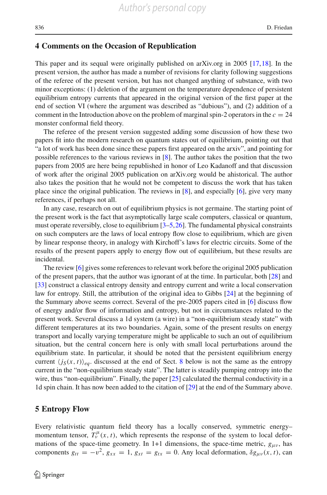#### **4 Comments on the Occasion of Republication**

This paper and its sequal were originally published on arXiv.org in 2005 [\[17,](#page-26-0)[18](#page-26-1)]. In the present version, the author has made a number of revisions for clarity following suggestions of the referee of the present version, but has not changed anything of substance, with two minor exceptions: (1) deletion of the argument on the temperature dependence of persistent equilibrium entropy currents that appeared in the original version of the first paper at the end of section VI (where the argument was described as "dubious"), and (2) addition of a comment in the Introduction above on the problem of marginal spin-2 operators in the  $c = 24$ monster conformal field theory.

The referee of the present version suggested adding some discussion of how these two papers fit into the modern research on quantum states out of equilibrium, pointing out that "a lot of work has been done since these papers first appeared on the arxiv", and pointing for possible references to the various reviews in [\[8](#page-26-19)]. The author takes the position that the two papers from 2005 are here being republished in honor of Leo Kadanoff and that discussion of work after the original 2005 publication on arXiv.org would be ahistorical. The author also takes the position that he would not be competent to discuss the work that has taken place since the original publication. The reviews in [\[8\]](#page-26-19), and especially [\[6\]](#page-26-20), give very many references, if perhaps not all.

In any case, research on out of equilibrium physics is not germaine. The starting point of the present work is the fact that asymptotically large scale computers, classical or quantum, must operate reversibly, close to equilibrium [\[3](#page-26-3)[–5,](#page-26-4)[26](#page-26-5)]. The fundamental physical constraints on such computers are the laws of local entropy flow close to equilibrium, which are given by linear response theory, in analogy with Kirchoff's laws for electric circuits. Some of the results of the present papers apply to energy flow out of equilibrium, but these results are incidental.

The review [\[6\]](#page-26-20) gives some references to relevant work before the original 2005 publication of the present papers, that the author was ignorant of at the time. In particular, both [\[28\]](#page-26-21) and [\[33\]](#page-27-3) construct a classical entropy density and entropy current and write a local conservation law for entropy. Still, the attribution of the original idea to Gibbs [\[24](#page-26-14)] at the beginning of the Summary above seems correct. Several of the pre-2005 papers cited in [\[6\]](#page-26-20) discuss flow of energy and/or flow of information and entropy, but not in circumstances related to the present work. Several discuss a 1d system (a wire) in a "non-equilibrium steady state" with different temperatures at its two boundaries. Again, some of the present results on energy transport and locally varying temperature might be applicable to such an out of equilibrium situation, but the central concern here is only with small local perturbations around the equilibrium state. In particular, it should be noted that the persistent equilibrium energy current  $\langle j_S(x, t) \rangle_{eq}$ . discussed at the end of Sect. [8](#page-14-0) below is not the same as the entropy current in the "non-equilibrium steady state". The latter is steadily pumping entropy into the wire, thus "non-equilibrium". Finally, the paper  $[25]$  $[25]$  calculated the thermal conductivity in a 1d spin chain. It has now been added to the citation of [\[29\]](#page-27-2) at the end of the Summary above.

#### **5 Entropy Flow**

Every relativistic quantum field theory has a locally conserved, symmetric energy– momentum tensor,  $T_v^{\mu}(x, t)$ , which represents the response of the system to local deformations of the space-time geometry. In 1+1 dimensions, the space-time metric,  $g_{\mu\nu}$ , has components  $g_{tt} = -v^2$ ,  $g_{xx} = 1$ ,  $g_{xt} = g_{tx} = 0$ . Any local deformation,  $\delta g_{\mu\nu}(x, t)$ , can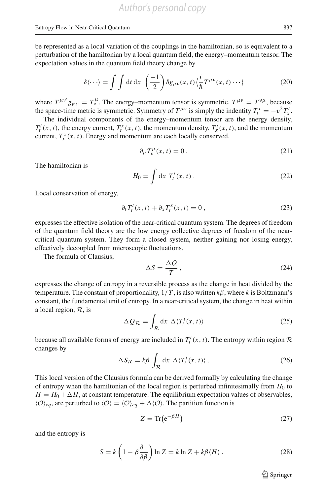be represented as a local variation of the couplings in the hamiltonian, so is equivalent to a perturbation of the hamiltonian by a local quantum field, the energy–momentum tensor. The expectation values in the quantum field theory change by

$$
\delta\langle\cdots\rangle = \int \int dt \, dx \, \left(\frac{-1}{2}\right) \delta g_{\mu\nu}(x,t) \langle \frac{i}{\hbar} T^{\mu\nu}(x,t) \cdots \rangle \tag{20}
$$

where  $T^{\mu\nu'}g_{\nu'\nu} = T^{\mu}_{\nu}$ . The energy–momentum tensor is symmetric,  $T^{\mu\nu} = T^{\nu\mu}$ , because the space-time metric is symmetric. Symmetry of  $T^{\mu\nu}$  is simply the indentity  $T_t^x = -v^2 T_x^t$ .

The individual components of the energy–momentum tensor are the energy density,  $T_t^t(x, t)$ , the energy current,  $T_t^x(x, t)$ , the momentum density,  $T_x^t(x, t)$ , and the momentum current,  $T_x^x(x, t)$ . Energy and momentum are each locally conserved,

$$
\partial_{\mu}T_{\nu}^{\mu}(x,t) = 0.
$$
\n(21)

The hamiltonian is

$$
H_0 = \int \mathrm{d}x \, T_t^t(x, t) \,. \tag{22}
$$

Local conservation of energy,

$$
\partial_t T_t^t(x,t) + \partial_x T_t^x(x,t) = 0, \qquad (23)
$$

expresses the effective isolation of the near-critical quantum system. The degrees of freedom of the quantum field theory are the low energy collective degrees of freedom of the nearcritical quantum system. They form a closed system, neither gaining nor losing energy, effectively decoupled from microscopic fluctuations.

The formula of Clausius,

$$
\Delta S = \frac{\Delta Q}{T},\tag{24}
$$

expresses the change of entropy in a reversible process as the change in heat divided by the temperature. The constant of proportionality,  $1/T$ , is also written  $k\beta$ , where k is Boltzmann's constant, the fundamental unit of entropy. In a near-critical system, the change in heat within a local region, *R*, is

$$
\Delta Q_{\mathcal{R}} = \int_{\mathcal{R}} dx \ \Delta \langle T_t^t(x, t) \rangle \tag{25}
$$

because all available forms of energy are included in  $T_t^t(x, t)$ . The entropy within region  $R$ changes by

$$
\Delta S_{\mathcal{R}} = k\beta \int_{\mathcal{R}} dx \; \Delta \langle T_t^t(x, t) \rangle \,. \tag{26}
$$

This local version of the Clausius formula can be derived formally by calculating the change of entropy when the hamiltonian of the local region is perturbed infinitesimally from  $H_0$  to  $H = H_0 + \Delta H$ , at constant temperature. The equilibrium expectation values of observables,  $\langle \mathcal{O} \rangle_{eq}$ , are perturbed to  $\langle \mathcal{O} \rangle = \langle \mathcal{O} \rangle_{eq} + \Delta \langle \mathcal{O} \rangle$ . The partition function is

$$
Z = \text{Tr}\left(e^{-\beta H}\right) \tag{27}
$$

and the entropy is

$$
S = k \left( 1 - \beta \frac{\partial}{\partial \beta} \right) \ln Z = k \ln Z + k \beta \langle H \rangle. \tag{28}
$$

 $\circled{2}$  Springer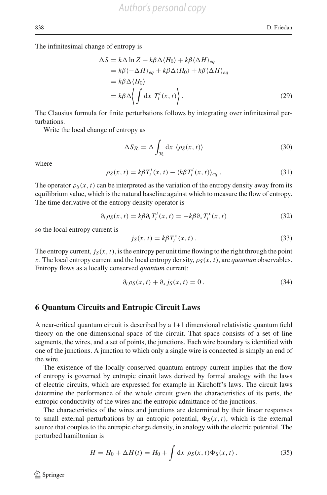The infinitesimal change of entropy is

$$
\Delta S = k \Delta \ln Z + k \beta \Delta \langle H_0 \rangle + k \beta \langle \Delta H \rangle_{eq}
$$
  
=  $k \beta \langle -\Delta H \rangle_{eq} + k \beta \Delta \langle H_0 \rangle + k \beta \langle \Delta H \rangle_{eq}$   
=  $k \beta \Delta \langle H_0 \rangle$   
=  $k \beta \Delta \langle \int dx \ T_t^t(x, t) \rangle.$  (29)

The Clausius formula for finite perturbations follows by integrating over infinitesimal perturbations.

Write the local change of entropy as

$$
\Delta S_{\mathcal{R}} = \Delta \int_{\mathcal{R}} dx \, \langle \rho_S(x, t) \rangle \tag{30}
$$

where

$$
\rho_S(x,t) = k\beta T_t^t(x,t) - \langle k\beta T_t^t(x,t) \rangle_{eq} \,. \tag{31}
$$

The operator  $\rho_S(x, t)$  can be interpreted as the variation of the entropy density away from its equilibrium value, which is the natural baseline against which to measure the flow of entropy. The time derivative of the entropy density operator is

$$
\partial_t \rho_S(x, t) = k \beta \partial_t T_t^t(x, t) = -k \beta \partial_x T_t^x(x, t)
$$
\n(32)

so the local entropy current is

$$
j_S(x,t) = k\beta T_t^x(x,t) \,. \tag{33}
$$

The entropy current,  $j_S(x, t)$ , is the entropy per unit time flowing to the right through the point *x*. The local entropy current and the local entropy density,  $\rho_S(x, t)$ , are *quantum* observables. Entropy flows as a locally conserved *quantum* current:

$$
\partial_t \rho_S(x, t) + \partial_x j_S(x, t) = 0.
$$
\n(34)

## **6 Quantum Circuits and Entropic Circuit Laws**

A near-critical quantum circuit is described by a 1+1 dimensional relativistic quantum field theory on the one-dimensional space of the circuit. That space consists of a set of line segments, the wires, and a set of points, the junctions. Each wire boundary is identified with one of the junctions. A junction to which only a single wire is connected is simply an end of the wire.

The existence of the locally conserved quantum entropy current implies that the flow of entropy is governed by entropic circuit laws derived by formal analogy with the laws of electric circuits, which are expressed for example in Kirchoff's laws. The circuit laws determine the performance of the whole circuit given the characteristics of its parts, the entropic conductivity of the wires and the entropic admittance of the junctions.

The characteristics of the wires and junctions are determined by their linear responses to small external perturbations by an entropic potential,  $\Phi_S(x, t)$ , which is the external source that couples to the entropic charge density, in analogy with the electric potential. The perturbed hamiltonian is

$$
H = H_0 + \Delta H(t) = H_0 + \int \mathrm{d}x \, \rho_S(x, t) \Phi_S(x, t) \,. \tag{35}
$$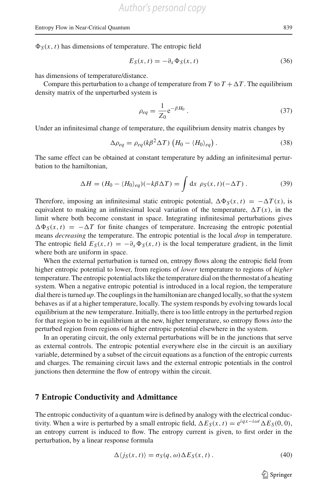$\Phi_S(x, t)$  has dimensions of temperature. The entropic field

<span id="page-13-1"></span>
$$
E_S(x,t) = -\partial_x \Phi_S(x,t) \tag{36}
$$

has dimensions of temperature/distance.

Compare this perturbation to a change of temperature from *T* to  $T + \Delta T$ . The equilibrium density matrix of the unperturbed system is

$$
\rho_{eq} = \frac{1}{Z_0} e^{-\beta H_0} \,. \tag{37}
$$

Under an infinitesimal change of temperature, the equilibrium density matrix changes by

$$
\Delta \rho_{eq} = \rho_{eq}(k\beta^2 \Delta T) \left( H_0 - \langle H_0 \rangle_{eq} \right). \tag{38}
$$

The same effect can be obtained at constant temperature by adding an infinitesimal perturbation to the hamiltonian,

$$
\Delta H = (H_0 - \langle H_0 \rangle_{eq})(-k\beta \Delta T) = \int \mathrm{d}x \, \rho_S(x, t)(-\Delta T) \,. \tag{39}
$$

Therefore, imposing an infinitesimal static entropic potential,  $\Delta \Phi_S(x, t) = -\Delta T(x)$ , is equivalent to making an infinitesimal local variation of the temperature,  $\Delta T(x)$ , in the limit where both become constant in space. Integrating infinitesimal perturbations gives  $\Delta \Phi_S(x, t) = -\Delta T$  for finite changes of temperature. Increasing the entropic potential means *decreasing* the temperature. The entropic potential is the local *drop* in temperature. The entropic field  $E_S(x, t) = -\partial_x \Phi_S(x, t)$  is the local temperature gradient, in the limit where both are uniform in space.

When the external perturbation is turned on, entropy flows along the entropic field from higher entropic potential to lower, from regions of *lower* temperature to regions of *higher* temperature. The entropic potential acts like the temperature dial on the thermostat of a heating system. When a negative entropic potential is introduced in a local region, the temperature dial there is turned *up*. The couplings in the hamiltonian are changed locally, so that the system behaves as if at a higher temperature, locally. The system responds by evolving towards local equilibrium at the new temperature. Initially, there is too little entropy in the perturbed region for that region to be in equilibrium at the new, higher temperature, so entropy flows *into* the perturbed region from regions of higher entropic potential elsewhere in the system.

In an operating circuit, the only external perturbations will be in the junctions that serve as external controls. The entropic potential everywhere else in the circuit is an auxiliary variable, determined by a subset of the circuit equations as a function of the entropic currents and charges. The remaining circuit laws and the external entropic potentials in the control junctions then determine the flow of entropy within the circuit.

#### **7 Entropic Conductivity and Admittance**

The entropic conductivity of a quantum wire is defined by analogy with the electrical conductivity. When a wire is perturbed by a small entropic field,  $\Delta E_S(x, t) = e^{iqx - i\omega t} \Delta E_S(0, 0)$ , an entropy current is induced to flow. The entropy current is given, to first order in the perturbation, by a linear response formula

<span id="page-13-0"></span>
$$
\Delta \langle j_S(x, t) \rangle = \sigma_S(q, \omega) \Delta E_S(x, t) . \tag{40}
$$

 $\circled{2}$  Springer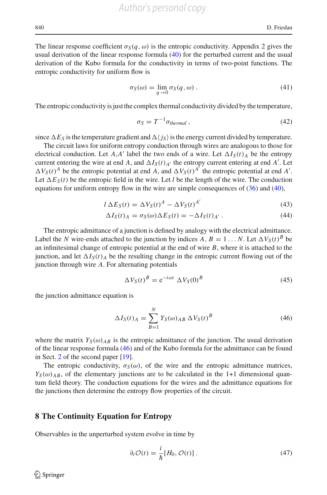*Author's personal copy*

The linear response coefficient  $\sigma_S(q,\omega)$  is the entropic conductivity. Appendix 2 gives the usual derivation of the linear response formula [\(40\)](#page-13-0) for the perturbed current and the usual derivation of the Kubo formula for the conductivity in terms of two-point functions. The entropic conductivity for uniform flow is

$$
\sigma_S(\omega) = \lim_{q \to 0} \sigma_S(q, \omega).
$$
 (41)

The entropic conductivity is just the complex thermal conductivity divided by the temperature,

$$
\sigma_S = T^{-1} \sigma_{thermal} \,, \tag{42}
$$

since  $\Delta E_S$  is the temperature gradient and  $\Delta \langle j_S \rangle$  is the energy current divided by temperature.

The circuit laws for uniform entropy conduction through wires are analogous to those for electrical conduction. Let  $A$ , $A'$  label the two ends of a wire. Let  $\Delta I_S(t)$  be the entropy current entering the wire at end *A*, and  $\Delta I_S(t)_{A'}$  the entropy current entering at end *A'*. Let  $\Delta V_S(t)^A$  be the entropic potential at end *A*, and  $\Delta V_S(t)^{A'}$  the entropic potential at end *A'*. Let  $\Delta E_S(t)$  be the entropic field in the wire. Let *l* be the length of the wire. The conduction equations for uniform entropy flow in the wire are simple consequences of [\(36\)](#page-13-1) and [\(40\)](#page-13-0),

$$
l \Delta E_S(t) = \Delta V_S(t)^A - \Delta V_S(t)^{A'}
$$
\n(43)

$$
\Delta I_S(t)_A = \sigma_S(\omega) \Delta E_S(t) = -\Delta I_S(t)_{A'}.
$$
\n(44)

The entropic admittance of a junction is defined by analogy with the electrical admittance. Label the *N* wire-ends attached to the junction by indices *A*,  $B = 1...N$ . Let  $\Delta V_S(t)^B$  be an infinitesimal change of entropic potential at the end of wire *B*, where it is attached to the junction, and let  $\Delta I_{S}(t)$  *A* be the resulting change in the entropic current flowing out of the junction through wire *A*. For alternating potentials

$$
\Delta V_S(t)^B = e^{-i\omega t} \Delta V_S(0)^B \tag{45}
$$

the junction admittance equation is

<span id="page-14-1"></span>
$$
\Delta I_S(t)_A = \sum_{B=1}^N Y_S(\omega)_{AB} \Delta V_S(t)^B \tag{46}
$$

where the matrix  $Y_S(\omega)_{AB}$  is the entropic admittance of the junction. The usual derivation of the linear response formula [\(46\)](#page-14-1) and of the Kubo formula for the admittance can be found in Sect. [2](#page-5-0) of the second paper [\[19\]](#page-26-2).

The entropic conductivity,  $\sigma_S(\omega)$ , of the wire and the entropic admittance matrices,  $Y_S(\omega)_{AB}$ , of the elementary junctions are to be calculated in the 1+1 dimensional quantum field theory. The conduction equations for the wires and the admittance equations for the junctions then determine the entropy flow properties of the circuit.

#### <span id="page-14-0"></span>**8 The Continuity Equation for Entropy**

Observables in the unperturbed system evolve in time by

$$
\partial_t \mathcal{O}(t) = \frac{i}{\hbar} [H_0, \mathcal{O}(t)] \,. \tag{47}
$$

 $\mathcal{L}$  Springer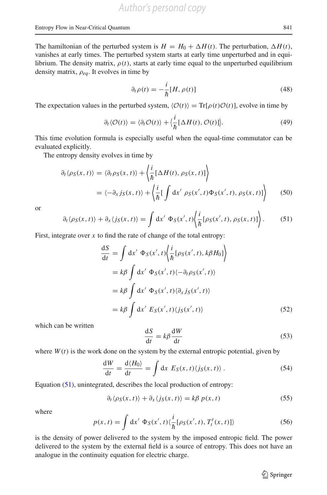The hamiltonian of the perturbed system is  $H = H_0 + \Delta H(t)$ . The perturbation,  $\Delta H(t)$ , vanishes at early times. The perturbed system starts at early time unperturbed and in equilibrium. The density matrix,  $\rho(t)$ , starts at early time equal to the unperturbed equilibrium density matrix, ρ*eq*. It evolves in time by

$$
\partial_t \rho(t) = -\frac{i}{\hbar} [H, \rho(t)] \tag{48}
$$

The expectation values in the perturbed system,  $\langle O(t) \rangle = \text{Tr}[\rho(t)O(t)]$ , evolve in time by

<span id="page-15-2"></span>
$$
\partial_t \langle \mathcal{O}(t) \rangle = \langle \partial_t \mathcal{O}(t) \rangle + \langle \frac{i}{\hbar} [\Delta H(t), \mathcal{O}(t)] \rangle. \tag{49}
$$

This time evolution formula is especially useful when the equal-time commutator can be evaluated explicitly.

The entropy density evolves in time by

$$
\partial_t \langle \rho_S(x, t) \rangle = \langle \partial_t \rho_S(x, t) \rangle + \left\langle \frac{i}{\hbar} [\Delta H(t), \rho_S(x, t)] \right\rangle
$$
  
=  $\langle -\partial_x j_S(x, t) \rangle + \left\langle \frac{i}{\hbar} [\int dx' \rho_S(x', t) \Phi_S(x', t), \rho_S(x, t)] \right\rangle$  (50)

or

<span id="page-15-0"></span>
$$
\partial_t \langle \rho_S(x,t) \rangle + \partial_x \langle j_S(x,t) \rangle = \int \mathrm{d}x' \; \Phi_S(x',t) \left\langle \frac{i}{\hbar} [\rho_S(x',t), \rho_S(x,t)] \right\rangle. \tag{51}
$$

First, integrate over  $x$  to find the rate of change of the total entropy:

$$
\frac{dS}{dt} = \int dx' \Phi_S(x', t) \left\langle \frac{i}{\hbar} [\rho_S(x', t), k\beta H_0] \right\rangle
$$
  
\n
$$
= k\beta \int dx' \Phi_S(x', t) \langle -\partial_t \rho_S(x', t) \rangle
$$
  
\n
$$
= k\beta \int dx' \Phi_S(x', t) \langle \partial_x j_S(x', t) \rangle
$$
  
\n
$$
= k\beta \int dx' E_S(x', t) \langle j_S(x', t) \rangle
$$
(52)

which can be written

$$
\frac{\mathrm{d}S}{\mathrm{d}t} = k\beta \frac{\mathrm{d}W}{\mathrm{d}t} \tag{53}
$$

where  $W(t)$  is the work done on the system by the external entropic potential, given by

$$
\frac{dW}{dt} = \frac{d\langle H_0 \rangle}{dt} = \int dx E_S(x, t) \langle j_S(x, t) \rangle.
$$
 (54)

Equation [\(51\)](#page-15-0), unintegrated, describes the local production of entropy:

$$
\partial_t \langle \rho_S(x, t) \rangle + \partial_x \langle j_S(x, t) \rangle = k \beta \, p(x, t) \tag{55}
$$

where

<span id="page-15-1"></span>
$$
p(x,t) = \int dx' \Phi_S(x',t) \langle \frac{i}{\hbar} [\rho_S(x',t), T_t^t(x,t)] \rangle
$$
 (56)

is the density of power delivered to the system by the imposed entropic field. The power delivered to the system by the external field is a source of entropy. This does not have an analogue in the continuity equation for electric charge.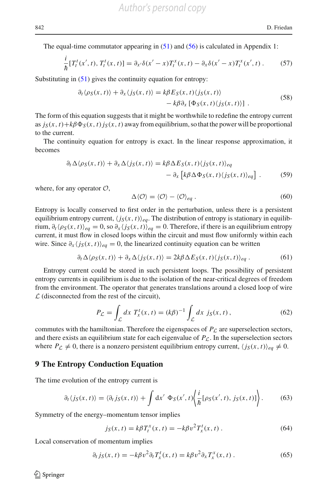The equal-time commutator appearing in  $(51)$  and  $(56)$  is calculated in Appendix 1:

$$
\frac{i}{\hbar} [T_t^t(x',t), T_t^t(x,t)] = \partial_{x'} \delta(x'-x) T_t^x(x,t) - \partial_x \delta(x'-x) T_t^x(x',t) \,. \tag{57}
$$

Substituting in  $(51)$  gives the continuity equation for entropy:

$$
\partial_t \langle \rho_S(x, t) \rangle + \partial_x \langle j_S(x, t) \rangle = k \beta E_S(x, t) \langle j_S(x, t) \rangle \n- k \beta \partial_x \left[ \Phi_S(x, t) \langle j_S(x, t) \rangle \right].
$$
\n(58)

The form of this equation suggests that it might be worthwhile to redefine the entropy current as  $j_S(x, t) + k\beta \Phi_S(x, t) j_S(x, t)$  away from equilibrium, so that the power will be proportional to the current.

The continuity equation for entropy is exact. In the linear response approximation, it becomes

$$
\partial_t \Delta \langle \rho_S(x, t) \rangle + \partial_x \Delta \langle j_S(x, t) \rangle = k\beta \Delta E_S(x, t) \langle j_S(x, t) \rangle_{eq}
$$
  
- 
$$
\partial_x \left[ k\beta \Delta \Phi_S(x, t) \langle j_S(x, t) \rangle_{eq} \right].
$$
 (59)

where, for any operator *O*,

$$
\Delta \langle \mathcal{O} \rangle = \langle \mathcal{O} \rangle - \langle \mathcal{O} \rangle_{eq} . \tag{60}
$$

Entropy is locally conserved to first order in the perturbation, unless there is a persistent equilibrium entropy current,  $\langle j_S(x, t) \rangle_{eq}$ . The distribution of entropy is stationary in equilibrium,  $\partial_t \langle \rho_S(x, t) \rangle_{eq} = 0$ , so  $\partial_x \langle j_S(x, t) \rangle_{eq} = 0$ . Therefore, if there is an equilibrium entropy current, it must flow in closed loops within the circuit and must flow uniformly within each wire. Since  $\partial_x \langle j_S(x, t) \rangle_{ea} = 0$ , the linearized continuity equation can be written

<span id="page-16-1"></span>
$$
\partial_t \Delta \langle \rho_S(x, t) \rangle + \partial_x \Delta \langle j_S(x, t) \rangle = 2k\beta \Delta E_S(x, t) \langle j_S(x, t) \rangle_{eq} . \tag{61}
$$

Entropy current could be stored in such persistent loops. The possibility of persistent entropy currents in equilibrium is due to the isolation of the near-critical degrees of freedom from the environment. The operator that generates translations around a closed loop of wire *L* (disconnected from the rest of the circuit),

$$
P_{\mathcal{L}} = \int_{\mathcal{L}} dx \ T_x^t(x, t) = (k\beta)^{-1} \int_{\mathcal{L}} dx \ j_S(x, t), \tag{62}
$$

commutes with the hamiltonian. Therefore the eigenspaces of  $P<sub>C</sub>$  are superselection sectors, and there exists an equilibrium state for each eigenvalue of  $P_{\mathcal{L}}$ . In the superselection sectors where  $P_L \neq 0$ , there is a nonzero persistent equilibrium entropy current,  $\langle j_S(x, t) \rangle_{eq} \neq 0$ .

#### **9 The Entropy Conduction Equation**

The time evolution of the entropy current is

<span id="page-16-0"></span>
$$
\partial_t \langle j_S(x,t) \rangle = \langle \partial_t j_S(x,t) \rangle + \int \mathrm{d}x' \, \Phi_S(x',t) \bigg\langle \frac{i}{\hbar} [\rho_S(x',t), j_S(x,t)] \bigg\rangle. \tag{63}
$$

Symmetry of the energy–momentum tensor implies

$$
j_S(x, t) = k\beta T_t^x(x, t) = -k\beta v^2 T_x^t(x, t).
$$
 (64)

Local conservation of momentum implies

$$
\partial_t j_S(x,t) = -k\beta v^2 \partial_t T_x^t(x,t) = k\beta v^2 \partial_x T_x^x(x,t) \,. \tag{65}
$$

 $\circledcirc$  Springer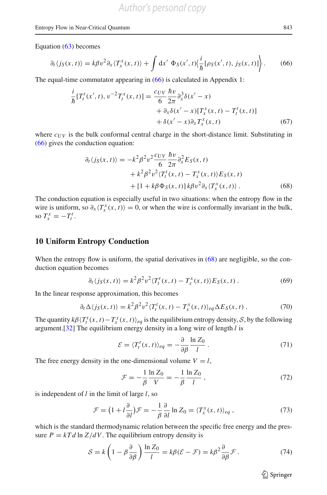#### Entropy Flow in Near-Critical Quantum 843

Equation [\(63\)](#page-16-0) becomes

<span id="page-17-0"></span>
$$
\partial_t \langle j_S(x,t) \rangle = k \beta v^2 \partial_x \langle T_x^x(x,t) \rangle + \int \mathrm{d}x' \, \Phi_S(x',t) \Big( \frac{i}{\hbar} [\rho_S(x',t), j_S(x,t)] \Big) \, . \tag{66}
$$

The equal-time commutator appearing in [\(66\)](#page-17-0) is calculated in Appendix 1:

$$
\frac{i}{\hbar} [T_t^t(x',t), v^{-2} T_t^x(x,t)] = \frac{c_{UV}}{6} \frac{\hbar v}{2\pi} \partial_x^3 \delta(x'-x) \n+ \partial_x \delta(x'-x) [T_x^x(x,t) - T_t^t(x,t)] \n+ \delta(x'-x) \partial_x T_x^x(x,t)
$$
\n(67)

where  $c_{UV}$  is the bulk conformal central charge in the short-distance limit. Substituting in [\(66\)](#page-17-0) gives the conduction equation:

<span id="page-17-1"></span>
$$
\partial_t \langle j_S(x, t) \rangle = -k^2 \beta^2 v^2 \frac{c_{UV}}{6} \frac{\hbar v}{2\pi} \partial_x^2 E_S(x, t) \n+ k^2 \beta^2 v^2 \langle T_t^t(x, t) - T_x^x(x, t) \rangle E_S(x, t) \n+ [1 + k \beta \Phi_S(x, t)] k \beta v^2 \partial_x \langle T_x^x(x, t) \rangle.
$$
\n(68)

The conduction equation is especially useful in two situations: when the entropy flow in the wire is uniform, so  $\partial_x \langle T_x^x(x, t) \rangle = 0$ , or when the wire is conformally invariant in the bulk, so  $T_x^x = -T_t^t$ .

#### **10 Uniform Entropy Conduction**

When the entropy flow is uniform, the spatial derivatives in  $(68)$  are negligible, so the conduction equation becomes

$$
\partial_t \langle j_S(x, t) \rangle = k^2 \beta^2 v^2 \langle T_t^t(x, t) - T_x^x(x, t) \rangle E_S(x, t) \,. \tag{69}
$$

In the linear response approximation, this becomes

<span id="page-17-2"></span>
$$
\partial_t \Delta \langle j_S(x, t) \rangle = k^2 \beta^2 v^2 \langle T_t^t(x, t) - T_x^x(x, t) \rangle_{eq} \Delta E_S(x, t) \,. \tag{70}
$$

The quantity  $k\beta \langle T_t^t(x, t) - T_x^x(x, t) \rangle_{eq}$  is the equilibrium entropy density, *S*, by the following argument.[\[32\]](#page-27-4) The equilibrium energy density in a long wire of length *l* is

$$
\mathcal{E} = \langle T_t^t(x, t) \rangle_{eq} = -\frac{\partial}{\partial \beta} \frac{\ln Z_0}{l} \,. \tag{71}
$$

The free energy density in the one-dimensional volume  $V = l$ ,

$$
\mathcal{F} = -\frac{1}{\beta} \frac{\ln Z_0}{V} = -\frac{1}{\beta} \frac{\ln Z_0}{l} \,,\tag{72}
$$

is independent of *l* in the limit of large *l*, so

$$
\mathcal{F} = \left(1 + l\frac{\partial}{\partial l}\right)\mathcal{F} = -\frac{1}{\beta}\frac{\partial}{\partial l}\ln Z_0 = \langle T_x^x(x, t)\rangle_{eq},\tag{73}
$$

which is the standard thermodynamic relation between the specific free energy and the pressure  $P = kT d \ln Z/dV$ . The equilibrium entropy density is

$$
S = k \left( 1 - \beta \frac{\partial}{\partial \beta} \right) \frac{\ln Z_0}{l} = k \beta (\mathcal{E} - \mathcal{F}) = k \beta^2 \frac{\partial}{\partial \beta} \mathcal{F} . \tag{74}
$$

 $\hat{\mathfrak{D}}$  Springer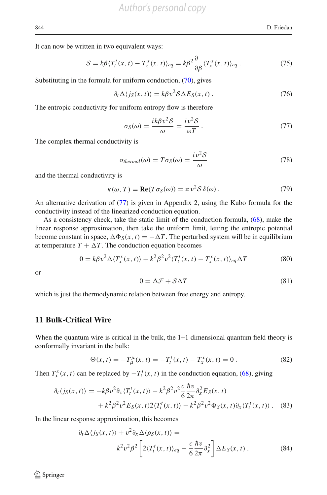It can now be written in two equivalent ways:

<span id="page-18-2"></span>
$$
S = k\beta \langle T_t^t(x, t) - T_x^x(x, t) \rangle_{eq} = k\beta^2 \frac{\partial}{\partial \beta} \langle T_x^x(x, t) \rangle_{eq} . \tag{75}
$$

Substituting in the formula for uniform conduction, [\(70\)](#page-17-2), gives

$$
\partial_t \Delta \langle j_S(x, t) \rangle = k \beta v^2 \mathcal{S} \Delta E_S(x, t) \,. \tag{76}
$$

The entropic conductivity for uniform entropy flow is therefore

<span id="page-18-1"></span>
$$
\sigma_S(\omega) = \frac{ik\beta v^2 S}{\omega} = \frac{iv^2 S}{\omega T} \,. \tag{77}
$$

The complex thermal conductivity is

$$
\sigma_{thermal}(\omega) = T\sigma_S(\omega) = \frac{iv^2 \mathcal{S}}{\omega} \tag{78}
$$

and the thermal conductivity is

$$
\kappa(\omega, T) = \text{Re}(T\sigma_S(\omega)) = \pi v^2 \mathcal{S} \,\delta(\omega) \,. \tag{79}
$$

An alternative derivation of [\(77\)](#page-18-1) is given in Appendix 2, using the Kubo formula for the conductivity instead of the linearized conduction equation.

As a consistency check, take the static limit of the conduction formula, [\(68\)](#page-17-1), make the linear response approximation, then take the uniform limit, letting the entropic potential become constant in space,  $\Delta \Phi_S(x, t) = -\Delta T$ . The perturbed system will be in equilibrium at temperature  $T + \Delta T$ . The conduction equation becomes

$$
0 = k\beta v^2 \Delta \langle T_x^x(x, t) \rangle + k^2 \beta^2 v^2 \langle T_t^t(x, t) - T_x^x(x, t) \rangle_{eq} \Delta T
$$
 (80)

or

$$
0 = \Delta \mathcal{F} + \mathcal{S} \Delta T \tag{81}
$$

which is just the thermodynamic relation between free energy and entropy.

## <span id="page-18-0"></span>**11 Bulk-Critical Wire**

When the quantum wire is critical in the bulk, the 1+1 dimensional quantum field theory is conformally invariant in the bulk:

$$
\Theta(x,t) = -T^{\mu}_{\mu}(x,t) = -T^t_t(x,t) - T^x_x(x,t) = 0.
$$
\n(82)

Then  $T_x^x(x, t)$  can be replaced by  $-T_t^t(x, t)$  in the conduction equation, [\(68\)](#page-17-1), giving

$$
\partial_t \langle j_S(x, t) \rangle = -k \beta v^2 \partial_x \langle T_t^t(x, t) \rangle - k^2 \beta^2 v^2 \frac{c}{6} \frac{\hbar v}{2\pi} \partial_x^2 E_S(x, t) \n+ k^2 \beta^2 v^2 E_S(x, t) 2 \langle T_t^t(x, t) \rangle - k^2 \beta^2 v^2 \Phi_S(x, t) \partial_x \langle T_t^t(x, t) \rangle. \tag{83}
$$

In the linear response approximation, this becomes

$$
\partial_t \Delta \langle j_S(x, t) \rangle + v^2 \partial_x \Delta \langle \rho_S(x, t) \rangle =
$$
  

$$
k^2 v^2 \beta^2 \left[ 2 \langle T_t^t(x, t) \rangle_{eq} - \frac{c}{6} \frac{\hbar v}{2\pi} \partial_x^2 \right] \Delta E_S(x, t).
$$
 (84)

 $\circledcirc$  Springer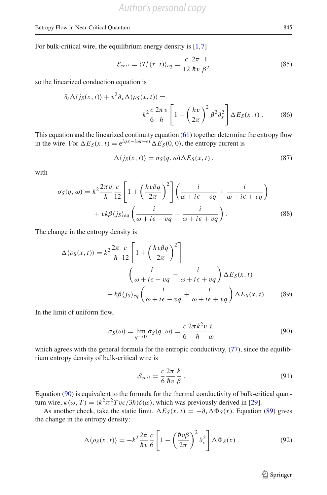For bulk-critical wire, the equilibrium energy density is [\[1](#page-26-22)[,7](#page-26-23)]

$$
\mathcal{E}_{crit} = \langle T_t^t(x, t) \rangle_{eq} = \frac{c}{12} \frac{2\pi}{\hbar v} \frac{1}{\beta^2}
$$
\n(85)

so the linearized conduction equation is

$$
\partial_t \Delta \langle j_S(x, t) \rangle + v^2 \partial_x \Delta \langle \rho_S(x, t) \rangle =
$$
  

$$
k^2 \frac{c}{6} \frac{2\pi v}{\hbar} \left[ 1 - \left( \frac{\hbar v}{2\pi} \right)^2 \beta^2 \partial_x^2 \right] \Delta E_S(x, t).
$$
 (86)

This equation and the linearized continuity equation [\(61\)](#page-16-1) together determine the entropy flow in the wire. For  $\Delta E_S(x, t) = e^{iqx - i\omega t + \epsilon t} \Delta E_S(0, 0)$ , the entropy current is

$$
\Delta \langle j_S(x, t) \rangle = \sigma_S(q, \omega) \Delta E_S(x, t) . \tag{87}
$$

with

$$
\sigma_S(q,\omega) = k^2 \frac{2\pi v}{\hbar} \frac{c}{12} \left[ 1 + \left( \frac{\hbar v \beta q}{2\pi} \right)^2 \right] \left( \frac{i}{\omega + i\epsilon - vq} + \frac{i}{\omega + i\epsilon + vq} \right) + v k \beta \langle j_S \rangle_{eq} \left( \frac{i}{\omega + i\epsilon - vq} - \frac{i}{\omega + i\epsilon + vq} \right).
$$
(88)

The change in the entropy density is

$$
\Delta \langle \rho_S(x, t) \rangle = k^2 \frac{2\pi}{\hbar} \frac{c}{12} \left[ 1 + \left( \frac{\hbar v \beta q}{2\pi} \right)^2 \right]
$$

$$
\left( \frac{i}{\omega + i\epsilon - vq} - \frac{i}{\omega + i\epsilon + vq} \right) \Delta E_S(x, t)
$$

$$
+ k\beta \langle j_S \rangle_{eq} \left( \frac{i}{\omega + i\epsilon - vq} + \frac{i}{\omega + i\epsilon + vq} \right) \Delta E_S(x, t). \tag{89}
$$

In the limit of uniform flow,

<span id="page-19-0"></span>
$$
\sigma_S(\omega) = \lim_{q \to 0} \sigma_S(q, \omega) = \frac{c}{6} \frac{2\pi k^2 v}{\hbar} \frac{i}{\omega}
$$
(90)

which agrees with the general formula for the entropic conductivity,  $(77)$ , since the equilibrium entropy density of bulk-critical wire is

<span id="page-19-3"></span><span id="page-19-1"></span>
$$
S_{crit} = \frac{c}{6} \frac{2\pi}{\hbar v} \frac{k}{\beta} \,. \tag{91}
$$

Equation [\(90\)](#page-19-0) is equivalent to the formula for the thermal conductivity of bulk-critical quantum wire,  $\kappa(\omega, T) = (k^2 \pi^2 T v c / 3\hbar) \delta(\omega)$ , which was previously derived in [\[29\]](#page-27-2).

As another check, take the static limit,  $\Delta E_S(x, t) = -\partial_x \Delta \Phi_S(x)$ . Equation [\(89\)](#page-19-1) gives the change in the entropy density:

<span id="page-19-2"></span>
$$
\Delta \langle \rho_S(x, t) \rangle = -k^2 \frac{2\pi}{\hbar v} \frac{c}{6} \left[ 1 - \left( \frac{\hbar v \beta}{2\pi} \right)^2 \partial_x^2 \right] \Delta \Phi_S(x) \,. \tag{92}
$$

<sup>2</sup> Springer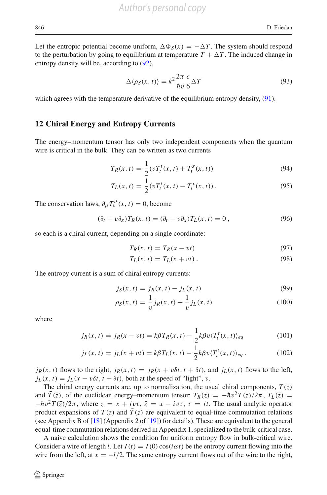Let the entropic potential become uniform,  $\Delta \Phi_S(x) = -\Delta T$ . The system should respond to the perturbation by going to equilibrium at temperature  $T + \Delta T$ . The induced change in entropy density will be, according to  $(92)$ ,

$$
\Delta \langle \rho_S(x, t) \rangle = k^2 \frac{2\pi}{\hbar v} \frac{c}{6} \Delta T \tag{93}
$$

which agrees with the temperature derivative of the equilibrium entropy density, [\(91\)](#page-19-3).

#### <span id="page-20-0"></span>**12 Chiral Energy and Entropy Currents**

The energy–momentum tensor has only two independent components when the quantum wire is critical in the bulk. They can be written as two currents

$$
T_R(x,t) = \frac{1}{2} (vT_t^t(x,t) + T_t^x(x,t))
$$
\n(94)

$$
T_L(x,t) = \frac{1}{2} (v T_t^t(x,t) - T_t^x(x,t)).
$$
\n(95)

The conservation laws,  $\partial_{\mu} T_{\nu}^{\mu}(x, t) = 0$ , become

$$
(\partial_t + v \partial_x) T_R(x, t) = (\partial_t - v \partial_x) T_L(x, t) = 0,
$$
\n(96)

so each is a chiral current, depending on a single coordinate:

$$
T_R(x,t) = T_R(x - vt) \tag{97}
$$

$$
T_L(x,t) = T_L(x+vt). \tag{98}
$$

The entropy current is a sum of chiral entropy currents:

$$
j_S(x, t) = j_R(x, t) - j_L(x, t)
$$
\n(99)

$$
\rho_S(x,t) = \frac{1}{v} j_R(x,t) + \frac{1}{v} j_L(x,t)
$$
\n(100)

where

$$
j_R(x,t) = j_R(x - vt) = k\beta T_R(x,t) - \frac{1}{2}k\beta v \langle T_t^t(x,t) \rangle_{eq}
$$
\n(101)

$$
j_L(x,t) = j_L(x+vt) = k\beta T_L(x,t) - \frac{1}{2}k\beta v \langle T_t^t(x,t) \rangle_{eq}.
$$
 (102)

 $j_R(x, t)$  flows to the right,  $j_R(x, t) = j_R(x + v\delta t, t + \delta t)$ , and  $j_L(x, t)$  flows to the left,  $j_L(x, t) = j_L(x - v\delta t, t + \delta t)$ , both at the speed of "light", v.

The chiral energy currents are, up to normalization, the usual chiral components,  $T(z)$ and  $T(\bar{z})$ , of the euclidean energy–momentum tensor:  $T_R(z) = -\hbar v^2 T(z)/2\pi$ ,  $T_L(\bar{z}) =$  $-\hbar v^2 \bar{T}(\bar{z})/2\pi$ , where  $z = x + iv\tau$ ,  $\bar{z} = x - iv\tau$ ,  $\tau = it$ . The usual analytic operator product expansions of  $T(z)$  and  $T(\bar{z})$  are equivalent to equal-time commutation relations (see Appendix B of [\[18](#page-26-1)] (Appendix 2 of [\[19\]](#page-26-2)) for details). These are equivalent to the general equal-time commutation relations derived in Appendix 1, specialized to the bulk-critical case.

A naive calculation shows the condition for uniform entropy flow in bulk-critical wire. Consider a wire of length *l*. Let  $I(t) = I(0) \cos(i\omega t)$  be the entropy current flowing into the wire from the left, at  $x = -l/2$ . The same entropy current flows out of the wire to the right,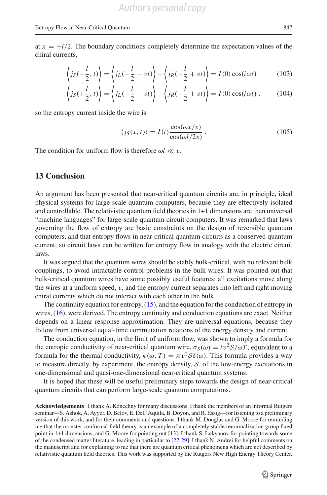at  $x = +l/2$ . The boundary conditions completely determine the expectation values of the chiral currents,

$$
\left\langle j_S(-\frac{l}{2}, t) \right\rangle = \left\langle j_L(-\frac{l}{2} - vt) \right\rangle - \left\langle j_R(-\frac{l}{2} + vt) \right\rangle = I(0) \cos(i \omega t) \tag{103}
$$

$$
\left\langle j_S(+\frac{l}{2},t)\right\rangle = \left\langle j_L(+\frac{l}{2}-vt)\right\rangle - \left\langle j_R(+\frac{l}{2}+vt)\right\rangle = I(0)\cos(i\omega t),\tag{104}
$$

so the entropy current inside the wire is

$$
\langle j_S(x,t) \rangle = I(t) \frac{\cos(\omega x/v)}{\cos(\omega l/2v)}.
$$
 (105)

The condition for uniform flow is therefore  $\omega l \ll v$ .

## **13 Conclusion**

An argument has been presented that near-critical quantum circuits are, in principle, ideal physical systems for large-scale quantum computers, because they are effectively isolated and controllable. The relativistic quantum field theories in 1+1 dimensions are then universal "machine languages" for large-scale quantum circuit computers. It was remarked that laws governing the flow of entropy are basic constraints on the design of reversible quantum computers, and that entropy flows in near-critical quantum circuits as a conserved quantum current, so circuit laws can be written for entropy flow in analogy with the electric circuit laws.

It was argued that the quantum wires should be stably bulk-critical, with no relevant bulk couplings, to avoid intractable control problems in the bulk wires. It was pointed out that bulk-critical quantum wires have some possibly useful features: all excitations move along the wires at a uniform speed,  $v$ , and the entropy current separates into left and right moving chiral currents which do not interact with each other in the bulk.

The continuity equation for entropy,  $(15)$ , and the equation for the conduction of entropy in wires, [\(16\)](#page-8-0), were derived. The entropy continuity and conduction equations are exact. Neither depends on a linear response approximation. They are universal equations, because they follow from universal equal-time commutation relations of the energy density and current.

The conduction equation, in the limit of uniform flow, was shown to imply a formula for the entropic conductivity of near-critical quantum wire,  $\sigma_S(\omega) = i v^2 S/\omega T$ , equivalent to a formula for the thermal conductivity,  $\kappa(\omega, T) = \pi v^2 \mathcal{S}\delta(\omega)$ . This formula provides a way to measure directly, by experiment, the entropy density,  $S$ , of the low-energy excitations in one-dimensional and quasi-one-dimensional near-critical quantum systems.

It is hoped that these will be useful preliminary steps towards the design of near-critical quantum circuits that can perform large-scale quantum computations.

**Acknowledgements** I thank A. Konechny for many discussions. I thank the members of an informal Rutgers seminar—S. Ashok, A. Ayyer, D. Belov, E. Dell'Aquila, B. Doyon, and R. Essig—for listening to a preliminary version of this work, and for their comments and questions. I thank M. Douglas and G. Moore for reminding me that the monster conformal field theory is an example of a completely stable renormalization group fixed point in 1+1 dimensions, and G. Moore for pointing out [\[13\]](#page-26-13). I thank S. Lukyanov for pointing towards some of the condensed matter literature, leading in particular to [\[27](#page-26-15)[,29\]](#page-27-2). I thank N. Andrei for helpful comments on the manuscript and for explaining to me that there are quantum critical phenomena which are not described by relativistic quantum field theories. This work was supported by the Rutgers New High Energy Theory Center.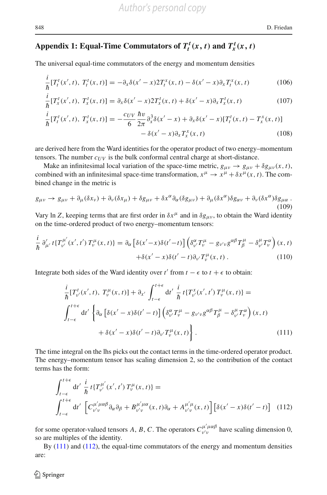# Appendix 1: Equal-Time Commutators of  $T_t^t(x, t)$  and  $T_x^t(x, t)$

The universal equal-time commutators of the energy and momentum densities

<span id="page-22-2"></span>
$$
\frac{i}{\hbar} [T_t^t(x',t), T_t^t(x,t)] = -\partial_x \delta(x'-x) 2T_t^x(x,t) - \delta(x'-x)\partial_x T_t^x(x,t)
$$
\n(106)

$$
\frac{i}{\hbar} [T_x^t(x',t), T_x^t(x,t)] = \partial_x \delta(x'-x) 2T_x^t(x,t) + \delta(x'-x) \partial_x T_x^t(x,t)
$$
\n(107)

$$
\frac{i}{\hbar} [T_t^t(x',t), T_x^t(x,t)] = -\frac{c_{UV}}{6} \frac{\hbar v}{2\pi} \partial_x^3 \delta(x'-x) + \partial_x \delta(x'-x) [T_t^t(x,t) - T_x^x(x,t)] \n- \delta(x'-x) \partial_x T_x^x(x,t)
$$
\n(108)

are derived here from the Ward identities for the operator product of two energy–momentum tensors. The number  $c_{UV}$  is the bulk conformal central charge at short-distance.

Make an infinitesimal local variation of the space-time metric,  $g_{\mu\nu} \to g_{\mu\nu} + \delta g_{\mu\nu}(x, t)$ , combined with an infinitesimal space-time transformation,  $x^{\mu} \to x^{\mu} + \delta x^{\mu}(x, t)$ . The combined change in the metric is

$$
g_{\mu\nu} \to g_{\mu\nu} + \partial_{\mu}(\delta x_{\nu}) + \partial_{\nu}(\delta x_{\mu}) + \delta g_{\mu\nu} + \delta x^{\alpha} \partial_{\alpha}(\delta g_{\mu\nu}) + \partial_{\mu}(\delta x^{\alpha}) \delta g_{\alpha\nu} + \partial_{\nu}(\delta x^{\alpha}) \delta g_{\mu\alpha} \tag{109}
$$

Vary ln *Z*, keeping terms that are first order in  $\delta x^{\mu}$  and in  $\delta g_{\mu\nu}$ , to obtain the Ward identity on the time-ordered product of two energy–momentum tensors:

$$
\frac{i}{\hbar} \partial'_{\mu'} t \{ T^{\mu'}_{\nu'}(x',t') T^{\mu}_{\nu}(x,t) \} = \partial_{\alpha} \left[ \delta(x'-x) \delta(t'-t) \right] \left( \delta^{\alpha}_{\nu'} T^{\mu}_{\nu} - g_{\nu' \nu} g^{\alpha \beta} T^{\mu}_{\beta} - \delta^{\mu}_{\nu'} T^{\alpha}_{\nu} \right) (x,t) \n+ \delta(x'-x) \delta(t'-t) \partial_{\nu'} T^{\mu}_{\nu}(x,t) .
$$
\n(110)

Integrate both sides of the Ward identity over  $t'$  from  $t - \epsilon$  to  $t + \epsilon$  to obtain:

<span id="page-22-0"></span>
$$
\frac{i}{\hbar} [T_{\nu}^{t}(x',t), T_{\nu}^{\mu}(x,t)] + \partial_{x'} \int_{t-\epsilon}^{t+\epsilon} dt' \frac{i}{\hbar} t \{T_{\nu}^{x}(x',t') T_{\nu}^{\mu}(x,t) \} =
$$
\n
$$
\int_{t-\epsilon}^{t+\epsilon} dt' \left\{ \partial_{\alpha} \left[ \delta(x'-x) \delta(t'-t) \right] \left( \delta_{\nu}^{\alpha} T_{\nu}^{\mu} - g_{\nu' \nu} g^{\alpha \beta} T_{\beta}^{\mu} - \delta_{\nu'}^{\mu} T_{\nu}^{\alpha} \right) (x,t) \right. \\ \left. + \delta(x'-x) \delta(t'-t) \partial_{\nu'} T_{\nu}^{\mu}(x,t) \right\} .
$$
\n(111)

The time integral on the lhs picks out the contact terms in the time-ordered operator product. The energy–momentum tensor has scaling dimension 2, so the contribution of the contact terms has the form:

<span id="page-22-1"></span>
$$
\int_{t-\epsilon}^{t+\epsilon} dt' \frac{i}{\hbar} t \{T_{v'}^{\mu'}(x',t') T_{v}^{\mu}(x,t)\} =
$$
\n
$$
\int_{t-\epsilon}^{t+\epsilon} dt' \left[C_{v'v}^{\mu'\mu\alpha\beta}\partial_{\alpha}\partial_{\beta} + B_{v'v}^{\mu'\mu\alpha}(x,t)\partial_{\alpha} + A_{v'v}^{\mu'\mu}(x,t)\right] \left[\delta(x'-x)\delta(t'-t)\right] \tag{112}
$$

for some operator-valued tensors *A*, *B*, *C*. The operators  $C_{v/v}^{\mu'\mu\alpha\beta}$  $v^{\mu}$   $\mu^{\mu}$  have scaling dimension 0, so are multiples of the identity.

By [\(111\)](#page-22-0) and [\(112\)](#page-22-1), the equal-time commutators of the energy and momentum densities are: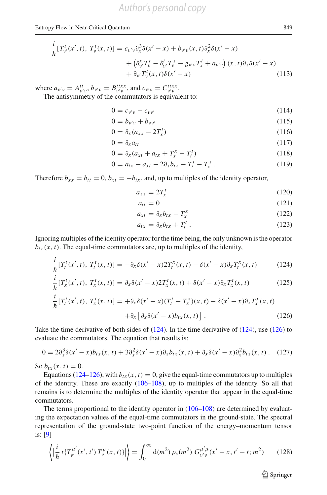#### Entropy Flow in Near-Critical Quantum 849

$$
\frac{i}{\hbar} [T_{\nu'}^t(x',t), T_{\nu}^t(x,t)] = c_{\nu'\nu} \partial_x^3 \delta(x'-x) + b_{\nu'\nu}(x,t) \partial_x^2 \delta(x'-x) \n+ (\delta_{\nu'}^x T_{\nu}^t - \delta_{\nu'}^t T_{\nu}^x - g_{\nu'\nu} T_x^t + a_{\nu'\nu}) (x,t) \partial_x \delta(x'-x) \n+ \partial_{\nu'} T_{\nu}^t(x,t) \delta(x'-x)
$$
\n(113)

where  $a_{\nu'\nu} = A_{\nu'\nu}^{tt}$ ,  $b_{\nu'\nu} = B_{\nu'\nu}^{ttxx}$ , and  $c_{\nu'\nu} = C_{\nu'\nu}^{ttxx}$ .

The antisymmetry of the commutators is equivalent to:

$$
0 = c_{\nu'\nu} - c_{\nu\nu'} \tag{114}
$$

$$
0 = b_{\nu'\nu} + b_{\nu\nu'} \tag{115}
$$

$$
0 = \partial_x (a_{xx} - 2T_x^t) \tag{116}
$$

$$
0 = \partial_x a_{tt} \tag{117}
$$

$$
0 = \partial_x (a_{xt} + a_{tx} + T_x^x - T_t^t)
$$
\n(118)

$$
0 = a_{tx} - a_{xt} - 2\partial_x b_{tx} - T_t^t - T_x^x. \tag{119}
$$

Therefore  $b_{xx} = b_{tt} = 0$ ,  $b_{xt} = -b_{tx}$ , and, up to multiples of the identity operator,

$$
a_{xx} = 2T_x^t \tag{120}
$$

$$
a_{tt} = 0 \tag{121}
$$

$$
a_{xt} = \partial_x b_{tx} - T_x^x \tag{122}
$$

$$
a_{tx} = \partial_x b_{tx} + T_t^t \t\t(123)
$$

Ignoring multiples of the identity operator for the time being, the only unknown is the operator  $b_{tx}(x, t)$ . The equal-time commutators are, up to multiples of the identity,

<span id="page-23-0"></span>
$$
\frac{i}{\hbar} [T_t^t(x',t), T_t^t(x,t)] = -\partial_x \delta(x'-x) 2T_t^x(x,t) - \delta(x'-x)\partial_x T_t^x(x,t) \tag{124}
$$

$$
\frac{i}{\hbar} [T_x^t(x',t), T_x^t(x,t)] = \partial_x \delta(x'-x) 2T_x^t(x,t) + \delta(x'-x) \partial_x T_x^t(x,t) \tag{125}
$$

$$
\frac{i}{\hbar} [T_t^t(x',t), T_x^t(x,t)] = +\partial_x \delta(x'-x) (T_t^t - T_x^x)(x,t) - \delta(x'-x)\partial_x T_x^x(x,t) \n+ \partial_x [\partial_x \delta(x'-x) b_{tx}(x,t)].
$$
\n(126)

Take the time derivative of both sides of  $(124)$ . In the time derivative of  $(124)$ , use  $(126)$  to evaluate the commutators. The equation that results is:

$$
0 = 2\partial_x^3 \delta(x'-x)b_{tx}(x,t) + 3\partial_x^2 \delta(x'-x)\partial_x b_{tx}(x,t) + \partial_x \delta(x'-x)\partial_x^2 b_{tx}(x,t) \,. \tag{127}
$$

So  $b_{tx}(x, t) = 0$ .

Equations [\(124–126\)](#page-23-0), with  $b_{tx}(x, t) = 0$ , give the equal-time commutators up to multiples of the identity. These are exactly [\(106–108\)](#page-22-2), up to multiples of the identity. So all that remains is to determine the multiples of the identity operator that appear in the equal-time commutators.

The terms proportional to the identity operator in  $(106-108)$  are determined by evaluating the expectation values of the equal-time commutators in the ground-state. The spectral representation of the ground-state two-point function of the energy–momentum tensor is: [\[9](#page-26-24)]

<span id="page-23-1"></span>
$$
\left\langle \left| \frac{i}{\hbar} t \{ T_{\nu'}^{\mu'}(x',t') \ T_{\nu}^{\mu}(x,t) \} \right| \right\rangle = \int_0^\infty d(m^2) \ \rho_c(m^2) \ G_{\nu'\nu}^{\mu'\mu}(x'-x,t'-t;m^2) \tag{128}
$$

 $\hat{\mathfrak{D}}$  Springer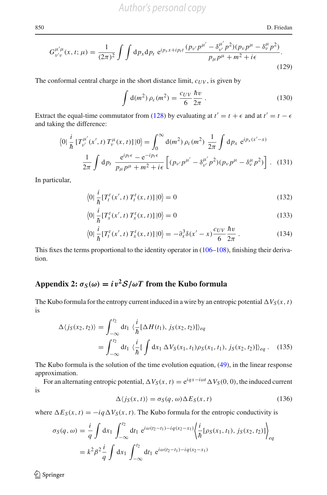850 D. Friedan

$$
G_{\nu'\nu}^{\mu'\mu}(x,t;\mu) = \frac{1}{(2\pi)^2} \int \int \mathrm{d}p_x \mathrm{d}p_t \ e^{ip_x x + ip_t t} \frac{(p_{\nu'}p^{\mu'} - \delta_{\nu'}^{\mu'}p^2)(p_{\nu}p^{\mu} - \delta_{\nu}^{\mu}p^2)}{p_{\mu}p^{\mu} + m^2 + i\epsilon}.
$$
\n(129)

The conformal central charge in the short distance limit,  $c_{UV}$ , is given by

$$
\int d(m^2) \,\rho_c(m^2) = \frac{c_{UV}}{6} \frac{\hbar v}{2\pi} \,. \tag{130}
$$

Extract the equal-time commutator from [\(128\)](#page-23-1) by evaluating at  $t' = t + \epsilon$  and at  $t' = t - \epsilon$ and taking the difference:

$$
\langle 0 | \frac{i}{\hbar} \left[ T_{\nu'}^{\mu'}(x',t) \, T_{\nu}^{\mu}(x,t) \right] | 0 \rangle = \int_0^\infty \mathrm{d}(m^2) \, \rho_c(m^2) \, \frac{1}{2\pi} \int \mathrm{d}p_x \, \mathrm{e}^{ip_x(x'-x)} \, \frac{1}{2\pi} \int \mathrm{d}p_t \, \frac{\mathrm{e}^{ip_t \epsilon} - \mathrm{e}^{-ip_t \epsilon}}{p_\mu p^\mu + m^2 + i\epsilon} \left[ (p_{\nu'} p^{\mu'} - \delta_{\nu'}^{\mu'} p^2) (p_\nu p^\mu - \delta_\nu^\mu p^2) \right]. \tag{131}
$$

In particular,

$$
\langle 0 | \frac{i}{\hbar} [T_t^t(x', t) T_t^t(x, t)] | 0 \rangle = 0
$$
\n(132)

$$
\langle 0 | \frac{i}{\hbar} [T_x^t(x', t) T_x^t(x, t)] | 0 \rangle = 0
$$
\n(133)

$$
\langle 0|\,\frac{i}{\hbar}[T_t^t(x',t)\,T_x^t(x,t)]\,|0\rangle = -\partial_x^3\delta(x'-x)\frac{c_{UV}}{6}\frac{\hbar v}{2\pi} \,. \tag{134}
$$

This fixes the terms proportional to the identity operator in [\(106–108\)](#page-22-2), finishing their derivation.

# **Appendix 2:**  $\sigma_S(\omega) = i v^2 S / \omega T$  from the Kubo formula

The Kubo formula for the entropy current induced in a wire by an entropic potential  $\Delta V_S(x, t)$ is

$$
\Delta \langle j_S(x_2, t_2) \rangle = \int_{-\infty}^{t_2} dt_1 \ \langle \frac{i}{\hbar} [\Delta H(t_1), j_S(x_2, t_2)] \rangle_{eq}
$$
  
= 
$$
\int_{-\infty}^{t_2} dt_1 \ \langle \frac{i}{\hbar} [\int dx_1 \ \Delta V_S(x_1, t_1) \rho_S(x_1, t_1), j_S(x_2, t_2)] \rangle_{eq} . \tag{135}
$$

The Kubo formula is the solution of the time evolution equation, [\(49\)](#page-15-2), in the linear response approximation.

For an alternating entropic potential,  $\Delta V_S(x, t) = e^{iqx - i\omega t} \Delta V_S(0, 0)$ , the induced current is

$$
\Delta \langle j_S(x, t) \rangle = \sigma_S(q, \omega) \Delta E_S(x, t) \tag{136}
$$

where  $\Delta E_S(x, t) = -iq \Delta V_S(x, t)$ . The Kubo formula for the entropic conductivity is

$$
\sigma_S(q,\omega) = \frac{i}{q} \int dx_1 \int_{-\infty}^{t_2} dt_1 e^{i\omega(t_2 - t_1) - iq(x_2 - x_1)} \left\langle \frac{i}{\hbar} [\rho_S(x_1, t_1), j_S(x_2, t_2)] \right\rangle_{eq}
$$
  
=  $k^2 \beta^2 \frac{i}{q} \int dx_1 \int_{-\infty}^{t_2} dt_1 e^{i\omega(t_2 - t_1) - iq(x_2 - x_1)}$ 

 $\bigcirc$  Springer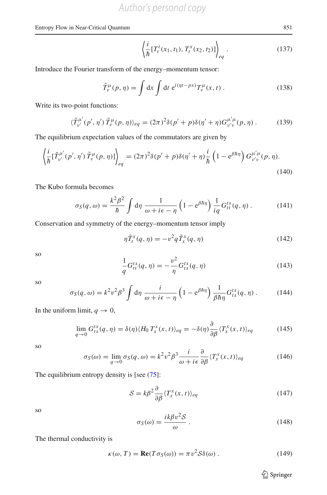#### Entropy Flow in Near-Critical Quantum 851

$$
\left\langle \frac{i}{\hbar} \left[ T_t^t(x_1, t_1), T_t^x(x_2, t_2) \right] \right\rangle_{eq} . \tag{137}
$$

Introduce the Fourier transform of the energy–momentum tensor:

$$
\tilde{T}_{\nu}^{\mu}(p,\eta) = \int dx \int dt e^{i(\eta t - px)} T_{\nu}^{\mu}(x,t).
$$
 (138)

Write its two-point functions:

$$
\langle \tilde{T}_{\nu'}^{\mu'}(p',\eta')\,\tilde{T}_{\nu}^{\mu}(p,\eta)\rangle_{eq} = (2\pi)^2 \delta(p' + p) \delta(\eta' + \eta) G_{\nu'\nu}^{\mu'\mu}(p,\eta) \,. \tag{139}
$$

The equilibrium expectation values of the commutators are given by

$$
\left\langle \frac{i}{\hbar} [\tilde{T}_{\nu'}^{\mu'}(p', \eta') \tilde{T}_{\nu}^{\mu}(p, \eta)] \right\rangle_{eq} = (2\pi)^2 \delta(p' + p) \delta(\eta' + \eta) \frac{i}{\hbar} \left( 1 - e^{\beta \hbar \eta} \right) G_{\nu' \nu}^{\mu' \mu}(p, \eta).
$$
\n(140)

The Kubo formula becomes

$$
\sigma_S(q,\omega) = \frac{k^2 \beta^2}{\hbar} \int d\eta \, \frac{1}{\omega + i\epsilon - \eta} \left( 1 - e^{\beta \hbar \eta} \right) \frac{1}{iq} G_{tt}^{tx}(q,\eta) \,. \tag{141}
$$

Conservation and symmetry of the energy–momentum tensor imply

$$
\eta \tilde{T}_t^x(q,\eta) = -v^2 q \tilde{T}_x^x(q,\eta) \tag{142}
$$

so  
\n
$$
\frac{1}{q}G_{tt}^{tx}(q, \eta) = -\frac{v^2}{\eta}G_{tx}^{tx}(q, \eta)
$$
\n(143)

so

$$
\sigma_S(q,\omega) = k^2 v^2 \beta^3 \int d\eta \; \frac{i}{\omega + i\epsilon - \eta} \left( 1 - e^{\beta \hbar \eta} \right) \frac{1}{\beta \hbar \eta} G_{tx}^{tx}(q,\eta) \,. \tag{144}
$$

In the uniform limit,  $q \to 0$ ,

$$
\lim_{q \to 0} G_{tx}^{tx}(q, \eta) = \delta(\eta) \langle H_0 T_x^x(x, t) \rangle_{eq} = -\delta(\eta) \frac{\partial}{\partial \beta} \langle T_x^x(x, t) \rangle_{eq} \tag{145}
$$

so

$$
\sigma_S(\omega) = \lim_{q \to 0} \sigma_S(q, \omega) = k^2 v^2 \beta^3 \frac{i}{\omega + i\epsilon} \frac{\partial}{\partial \beta} \langle T_x^x(x, t) \rangle_{eq} \tag{146}
$$

The equilibrium entropy density is [see  $(75)$ :

$$
S = k\beta^2 \frac{\partial}{\partial \beta} \langle T_x^x(x, t) \rangle_{eq} \tag{147}
$$

so

$$
\sigma_S(\omega) = \frac{ik\beta v^2 S}{\omega} \,. \tag{148}
$$

The thermal conductivity is

$$
\kappa(\omega, T) = \text{Re}(T\sigma_S(\omega)) = \pi v^2 \mathcal{S}\delta(\omega). \qquad (149)
$$

<sup>2</sup> Springer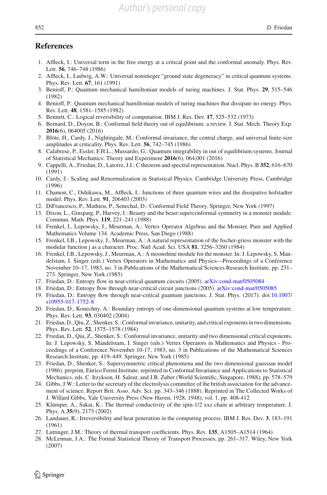# **References**

- <span id="page-26-22"></span>1. Affleck, I.: Universal term in the free energy at a critical point and the conformal anomaly. Phys. Rev. Lett. **56**, 746–748 (1986)
- <span id="page-26-9"></span>2. Affleck, I., Ludwig, A.W.: Universal noninteger "ground state degeneracy" in critical quantum systems. Phys. Rev. Lett. **67**, 161 (1991)
- <span id="page-26-3"></span>3. Benioff, P.: Quantum mechanical hamiltonian models of turing machines. J. Stat. Phys. **29**, 515–546 (1982)
- 4. Benioff, P.: Quantum mechanical hamiltonian models of turing machines that dissipate no energy. Phys. Rev. Lett. **48**, 1581–1585 (1982)
- <span id="page-26-4"></span>5. Bennett, C.: Logical reversibility of computation. IBM J. Res. Dev. **17**, 525–532 (1973)
- <span id="page-26-20"></span>6. Bernard, D., Doyon, B.: Conformal field theory out of equilibrium: a review. J. Stat. Mech. Theory Exp. **2016**(6), 064005 (2016)
- <span id="page-26-23"></span>7. Blöte, H., Cardy, J., Nightingale, M.: Conformal invariance, the central charge, and universal finite-size amplitudes at criticality. Phys. Rev. Lett. **56**, 742–745 (1986)
- <span id="page-26-19"></span>8. Calabrese, P., Essler, F.H.L., Mussardo, G.: Quantum integrability in out of equilibrium systems. Journal of Statistical Mechanics: Theory and Experiment **2016**(6), 064,001 (2016)
- <span id="page-26-24"></span>9. Cappelli, A., Friedan, D., Latorre, J.I.: C theorem and spectral representation. Nucl. Phys. B **352**, 616–670 (1991)
- <span id="page-26-6"></span>10. Cardy, J.: Scaling and Renormalization in Statistical Physics. Cambridge University Press, Cambridge (1996)
- <span id="page-26-16"></span>11. Chamon, C., Oshikawa, M., Affleck, I.: Junctions of three quantum wires and the dissipative hofstadter model. Phys. Rev. Lett. **91**, 206403 (2003)
- <span id="page-26-17"></span>12. DiFrancesco, P., Mathieu, P., Senechal, D.: Conformal Field Theory. Springer, New York (1997)
- <span id="page-26-13"></span>13. Dixon, L., Ginsparg, P., Harvey, J.: Beauty and the beast:superconformal symmetry in a monster module. Commun. Math. Phys. **119**, 221–241 (1988)
- <span id="page-26-7"></span>14. Frenkel, I., Lepowsky, J., Meurman, A.: Vertex Operator Algebras and the Monster. Pure and Applied Mathematics Volume 134. Academic Press, San Diego (1988)
- 15. Frenkel, I.B., Lepowsky, J., Meurman, A.: A natural representation of the fischer-griess monster with the modular function j as a character. Proc. Natl Acad. Sci. USA **81**, 3256–3260 (1984)
- <span id="page-26-8"></span>16. Frenkel, I.B., Lepowsky, J., Meurman, A.: A moonshine module for the monster. In: J. Lepowsky, S. Mandelstam, I. Singer (eds.) Vertex Operators in Mathematics and Physics—Proceedings of a Conference November 10–17, 1983, no. 3 in Publications of the Mathematical Sciences Research Institute, pp. 231– 273. Springer, New York (1985)
- <span id="page-26-0"></span>17. Friedan, D.: Entropy flow in near-critical quantum circuits (2005). [arXiv:cond-mat/0505084](http://arxiv.org/abs/cond-mat/0505084)
- <span id="page-26-1"></span>18. Friedan, D.: Entropy flow through near-critical circuit junctions (2005). [arXiv:cond-mat/0505085](http://arxiv.org/abs/cond-mat/0505085)
- <span id="page-26-2"></span>19. Friedan, D.: Entropy flow through near-critical guantum junctions. J. Stat. Phys. (2017). doi[:10.1007/](http://dx.doi.org/10.1007/s10955-017-1752-8) [s10955-017-1752-8](http://dx.doi.org/10.1007/s10955-017-1752-8)
- <span id="page-26-10"></span>20. Friedan, D., Konechny, A.: Boundary entropy of one-dimensional quantum systems at low temperature. Phys. Rev. Lett. **93**, 030402 (2004)
- <span id="page-26-11"></span>21. Friedan, D., Qiu, Z., Shenker, S.: Conformal invariance, unitarity, and critical exponents in two dimensions. Phys. Rev. Lett. **52**, 1575–1578 (1984)
- 22. Friedan, D., Qiu, Z., Shenker, S.: Conformal invariance, unitarity and two dimensional critical exponents. In: J. Lepowsky, S. Mandelstam, I. Singer (eds.) Vertex Operators in Mathematics and Physics - Proceedings of a Conference November 10-17, 1983, no. 3 in Publications of the Mathematical Sciences Research Institute, pp. 419–449. Springer, New York (1985)
- <span id="page-26-12"></span>23. Friedan, D., Shenker, S.: Supersymmetric critical phenomena and the two dimensional gaussian model (1986). preprint, Enrico Fermi Institute, reprinted in Conformal Invariance and Applications to Statistical Mechanics, eds. C. Itzykson, H. Saleur, and J.B. Zuber (World Scientific, Singapore, 1988), pp. 578–579
- <span id="page-26-14"></span>24. Gibbs, J.W.: Letter to the secretary of the electrolysis committee of the british association for the advancement of science. Report Brit. Asso. Adv. Sci. pp. 343–346 (1888). Reprinted in The Collected Works of J. Willard Gibbs, Yale University Press (New Haven, 1928, 1948), vol. 1, pp. 408-412
- <span id="page-26-18"></span>25. Klümper, A., Sakai, K.: The thermal conductivity of the spin-1/2 xxz chain at arbitrary temperature. J. Phys. A **35**(9), 2173 (2002)
- <span id="page-26-5"></span>26. Landauer, R.: Irreversibility and heat generation in the computing process. IBM J. Res. Dev. **3**, 183–191 (1961)
- <span id="page-26-15"></span>27. Luttinger, J.M.: Theory of thermal transport coefficients. Phys. Rev. **135**, A1505–A1514 (1964)
- <span id="page-26-21"></span>28. McLennan, J.A.: The Formal Statistical Theory of Transport Processes, pp. 261–317. Wiley, New York (2007)